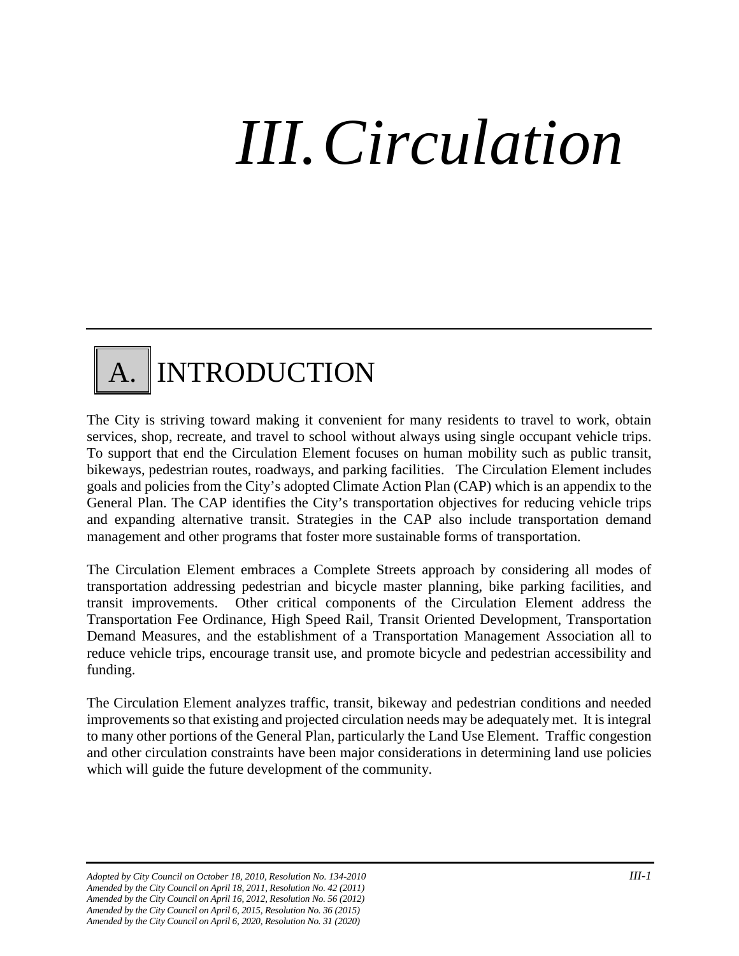# *III.Circulation*

### A. INTRODUCTION

The City is striving toward making it convenient for many residents to travel to work, obtain services, shop, recreate, and travel to school without always using single occupant vehicle trips. To support that end the Circulation Element focuses on human mobility such as public transit, bikeways, pedestrian routes, roadways, and parking facilities. The Circulation Element includes goals and policies from the City's adopted Climate Action Plan (CAP) which is an appendix to the General Plan. The CAP identifies the City's transportation objectives for reducing vehicle trips and expanding alternative transit. Strategies in the CAP also include transportation demand management and other programs that foster more sustainable forms of transportation.

The Circulation Element embraces a Complete Streets approach by considering all modes of transportation addressing pedestrian and bicycle master planning, bike parking facilities, and transit improvements. Other critical components of the Circulation Element address the Transportation Fee Ordinance, High Speed Rail, Transit Oriented Development, Transportation Demand Measures, and the establishment of a Transportation Management Association all to reduce vehicle trips, encourage transit use, and promote bicycle and pedestrian accessibility and funding.

The Circulation Element analyzes traffic, transit, bikeway and pedestrian conditions and needed improvements so that existing and projected circulation needs may be adequately met. It is integral to many other portions of the General Plan, particularly the Land Use Element. Traffic congestion and other circulation constraints have been major considerations in determining land use policies which will guide the future development of the community.

*Adopted by City Council on October 18, 2010, Resolution No. 134-2010 III-1 Amended by the City Council on April 18, 2011, Resolution No. 42 (2011) Amended by the City Council on April 16, 2012, Resolution No. 56 (2012) Amended by the City Council on April 6, 2015, Resolution No. 36 (2015) Amended by the City Council on April 6, 2020, Resolution No. 31 (2020)*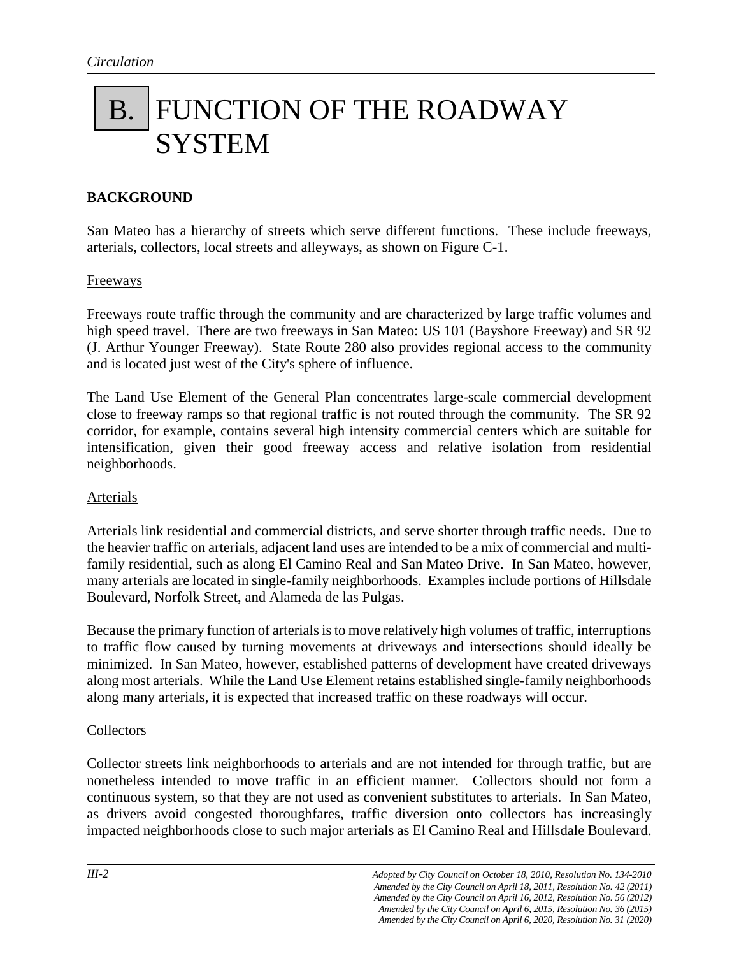### B. FUNCTION OF THE ROADWAY **SYSTEM**

#### **BACKGROUND**

San Mateo has a hierarchy of streets which serve different functions. These include freeways, arterials, collectors, local streets and alleyways, as shown on Figure C-1.

#### Freeways

Freeways route traffic through the community and are characterized by large traffic volumes and high speed travel. There are two freeways in San Mateo: US 101 (Bayshore Freeway) and SR 92 (J. Arthur Younger Freeway). State Route 280 also provides regional access to the community and is located just west of the City's sphere of influence.

The Land Use Element of the General Plan concentrates large-scale commercial development close to freeway ramps so that regional traffic is not routed through the community. The SR 92 corridor, for example, contains several high intensity commercial centers which are suitable for intensification, given their good freeway access and relative isolation from residential neighborhoods.

#### Arterials

Arterials link residential and commercial districts, and serve shorter through traffic needs. Due to the heavier traffic on arterials, adjacent land uses are intended to be a mix of commercial and multifamily residential, such as along El Camino Real and San Mateo Drive. In San Mateo, however, many arterials are located in single-family neighborhoods. Examples include portions of Hillsdale Boulevard, Norfolk Street, and Alameda de las Pulgas.

Because the primary function of arterials is to move relatively high volumes of traffic, interruptions to traffic flow caused by turning movements at driveways and intersections should ideally be minimized. In San Mateo, however, established patterns of development have created driveways along most arterials. While the Land Use Element retains established single-family neighborhoods along many arterials, it is expected that increased traffic on these roadways will occur.

#### **Collectors**

Collector streets link neighborhoods to arterials and are not intended for through traffic, but are nonetheless intended to move traffic in an efficient manner. Collectors should not form a continuous system, so that they are not used as convenient substitutes to arterials. In San Mateo, as drivers avoid congested thoroughfares, traffic diversion onto collectors has increasingly impacted neighborhoods close to such major arterials as El Camino Real and Hillsdale Boulevard.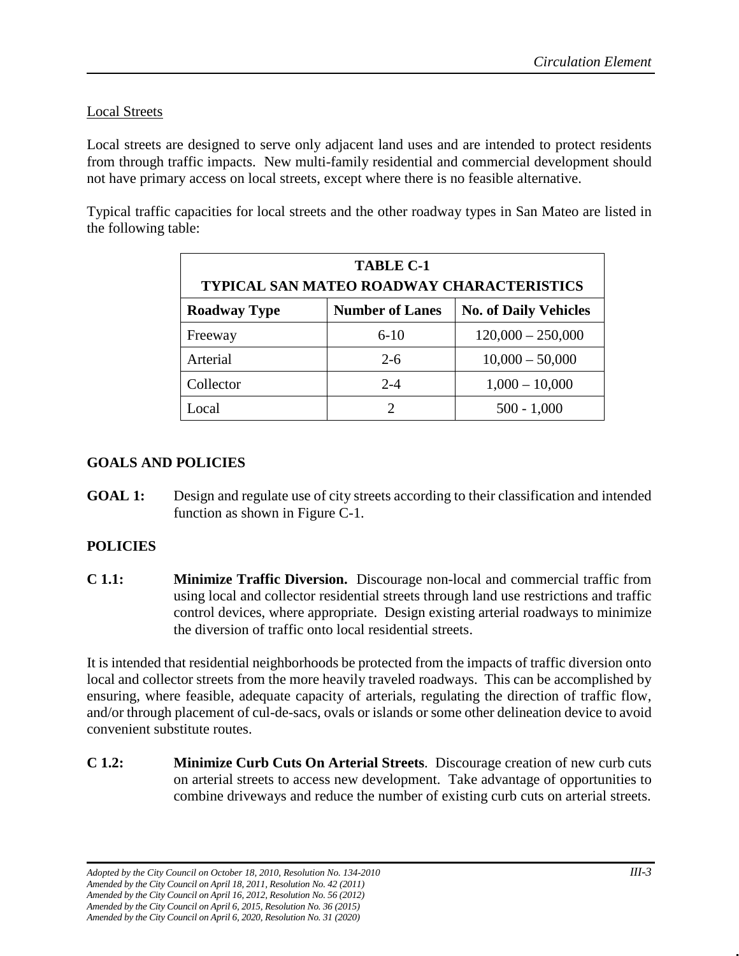#### Local Streets

Local streets are designed to serve only adjacent land uses and are intended to protect residents from through traffic impacts. New multi-family residential and commercial development should not have primary access on local streets, except where there is no feasible alternative.

Typical traffic capacities for local streets and the other roadway types in San Mateo are listed in the following table:

| <b>TABLE C-1</b><br><b>TYPICAL SAN MATEO ROADWAY CHARACTERISTICS</b> |                        |                              |  |  |  |  |  |
|----------------------------------------------------------------------|------------------------|------------------------------|--|--|--|--|--|
| <b>Roadway Type</b>                                                  | <b>Number of Lanes</b> | <b>No. of Daily Vehicles</b> |  |  |  |  |  |
| Freeway                                                              | $6 - 10$               | $120,000 - 250,000$          |  |  |  |  |  |
| Arterial                                                             | $2 - 6$                | $10,000 - 50,000$            |  |  |  |  |  |
| Collector                                                            | $2 - 4$                | $1,000 - 10,000$             |  |  |  |  |  |
| .ocal                                                                | $\mathcal{D}$          | $500 - 1,000$                |  |  |  |  |  |

#### **GOALS AND POLICIES**

**GOAL 1:** Design and regulate use of city streets according to their classification and intended function as shown in Figure C-1.

#### **POLICIES**

**C 1.1: Minimize Traffic Diversion.** Discourage non-local and commercial traffic from using local and collector residential streets through land use restrictions and traffic control devices, where appropriate. Design existing arterial roadways to minimize the diversion of traffic onto local residential streets.

It is intended that residential neighborhoods be protected from the impacts of traffic diversion onto local and collector streets from the more heavily traveled roadways. This can be accomplished by ensuring, where feasible, adequate capacity of arterials, regulating the direction of traffic flow, and/or through placement of cul-de-sacs, ovals or islands or some other delineation device to avoid convenient substitute routes.

**C 1.2: Minimize Curb Cuts On Arterial Streets**. Discourage creation of new curb cuts on arterial streets to access new development. Take advantage of opportunities to combine driveways and reduce the number of existing curb cuts on arterial streets.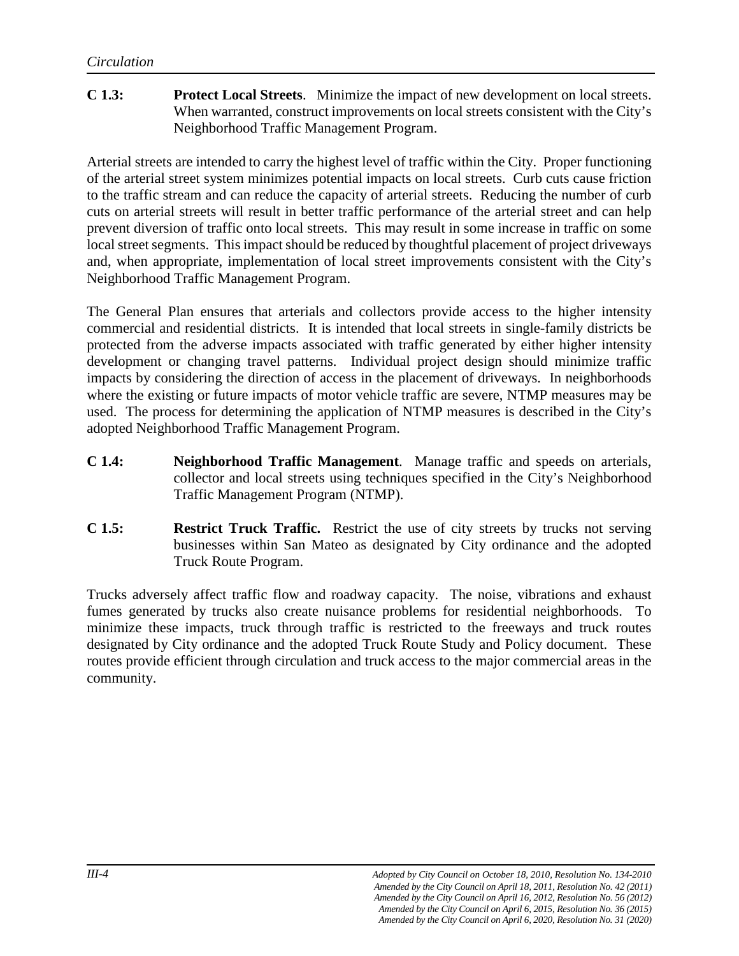#### **C 1.3: Protect Local Streets**. Minimize the impact of new development on local streets. When warranted, construct improvements on local streets consistent with the City's Neighborhood Traffic Management Program.

Arterial streets are intended to carry the highest level of traffic within the City. Proper functioning of the arterial street system minimizes potential impacts on local streets. Curb cuts cause friction to the traffic stream and can reduce the capacity of arterial streets. Reducing the number of curb cuts on arterial streets will result in better traffic performance of the arterial street and can help prevent diversion of traffic onto local streets. This may result in some increase in traffic on some local street segments. This impact should be reduced by thoughtful placement of project driveways and, when appropriate, implementation of local street improvements consistent with the City's Neighborhood Traffic Management Program.

The General Plan ensures that arterials and collectors provide access to the higher intensity commercial and residential districts. It is intended that local streets in single-family districts be protected from the adverse impacts associated with traffic generated by either higher intensity development or changing travel patterns. Individual project design should minimize traffic impacts by considering the direction of access in the placement of driveways. In neighborhoods where the existing or future impacts of motor vehicle traffic are severe, NTMP measures may be used. The process for determining the application of NTMP measures is described in the City's adopted Neighborhood Traffic Management Program.

- **C 1.4: Neighborhood Traffic Management**. Manage traffic and speeds on arterials, collector and local streets using techniques specified in the City's Neighborhood Traffic Management Program (NTMP).
- **C 1.5: Restrict Truck Traffic.** Restrict the use of city streets by trucks not serving businesses within San Mateo as designated by City ordinance and the adopted Truck Route Program.

Trucks adversely affect traffic flow and roadway capacity. The noise, vibrations and exhaust fumes generated by trucks also create nuisance problems for residential neighborhoods. To minimize these impacts, truck through traffic is restricted to the freeways and truck routes designated by City ordinance and the adopted Truck Route Study and Policy document. These routes provide efficient through circulation and truck access to the major commercial areas in the community.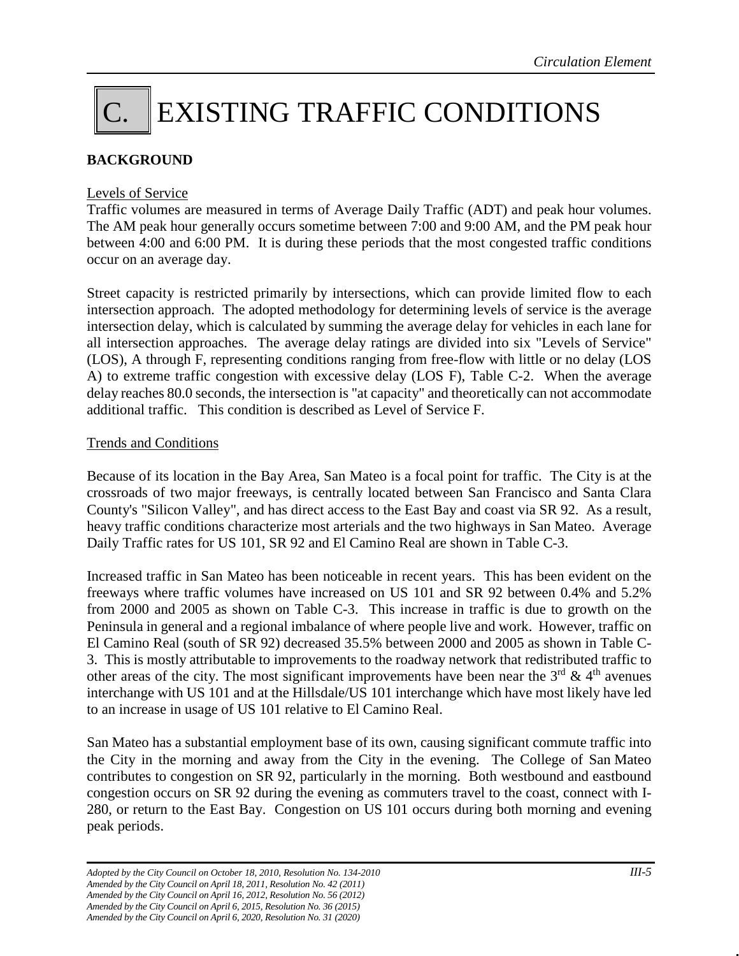## C. EXISTING TRAFFIC CONDITIONS

#### **BACKGROUND**

#### Levels of Service

Traffic volumes are measured in terms of Average Daily Traffic (ADT) and peak hour volumes. The AM peak hour generally occurs sometime between 7:00 and 9:00 AM, and the PM peak hour between 4:00 and 6:00 PM. It is during these periods that the most congested traffic conditions occur on an average day.

Street capacity is restricted primarily by intersections, which can provide limited flow to each intersection approach. The adopted methodology for determining levels of service is the average intersection delay, which is calculated by summing the average delay for vehicles in each lane for all intersection approaches. The average delay ratings are divided into six "Levels of Service" (LOS), A through F, representing conditions ranging from free-flow with little or no delay (LOS A) to extreme traffic congestion with excessive delay (LOS F), Table C-2. When the average delay reaches 80.0 seconds, the intersection is "at capacity" and theoretically can not accommodate additional traffic. This condition is described as Level of Service F.

#### Trends and Conditions

Because of its location in the Bay Area, San Mateo is a focal point for traffic. The City is at the crossroads of two major freeways, is centrally located between San Francisco and Santa Clara County's "Silicon Valley", and has direct access to the East Bay and coast via SR 92. As a result, heavy traffic conditions characterize most arterials and the two highways in San Mateo. Average Daily Traffic rates for US 101, SR 92 and El Camino Real are shown in Table C-3.

Increased traffic in San Mateo has been noticeable in recent years. This has been evident on the freeways where traffic volumes have increased on US 101 and SR 92 between 0.4% and 5.2% from 2000 and 2005 as shown on Table C-3. This increase in traffic is due to growth on the Peninsula in general and a regional imbalance of where people live and work. However, traffic on El Camino Real (south of SR 92) decreased 35.5% between 2000 and 2005 as shown in Table C-3. This is mostly attributable to improvements to the roadway network that redistributed traffic to other areas of the city. The most significant improvements have been near the  $3<sup>rd</sup>$  & 4<sup>th</sup> avenues interchange with US 101 and at the Hillsdale/US 101 interchange which have most likely have led to an increase in usage of US 101 relative to El Camino Real.

San Mateo has a substantial employment base of its own, causing significant commute traffic into the City in the morning and away from the City in the evening. The College of San Mateo contributes to congestion on SR 92, particularly in the morning. Both westbound and eastbound congestion occurs on SR 92 during the evening as commuters travel to the coast, connect with I-280, or return to the East Bay. Congestion on US 101 occurs during both morning and evening peak periods.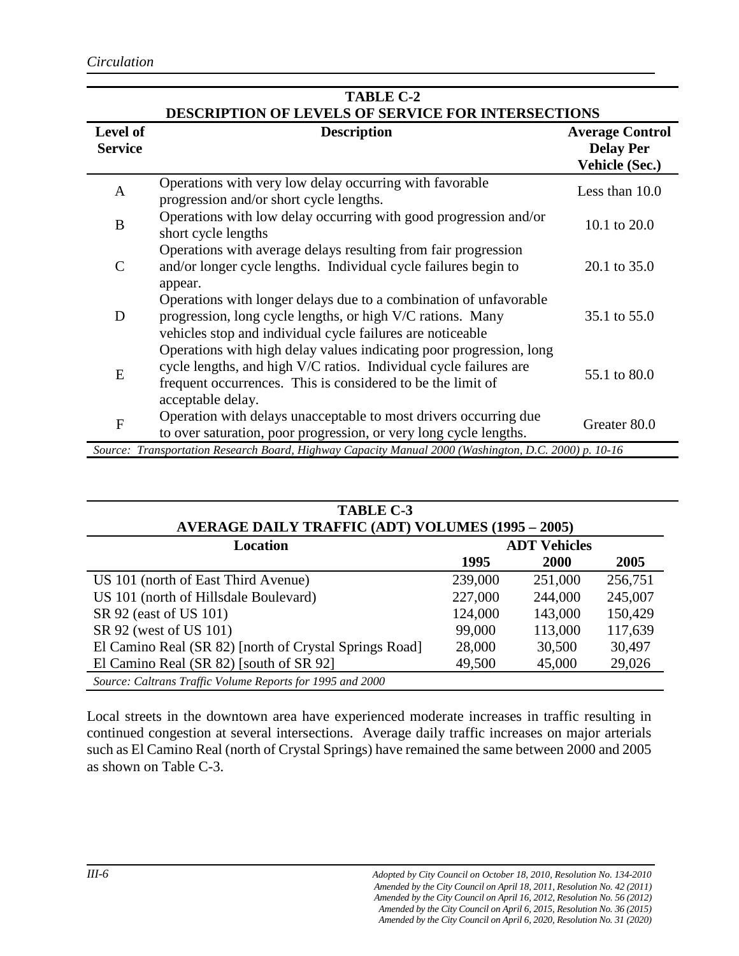| <b>TABLE C-2</b>           |                                                                                                                                                                                                                              |                                                                     |  |  |  |  |
|----------------------------|------------------------------------------------------------------------------------------------------------------------------------------------------------------------------------------------------------------------------|---------------------------------------------------------------------|--|--|--|--|
| Level of<br><b>Service</b> | DESCRIPTION OF LEVELS OF SERVICE FOR INTERSECTIONS<br><b>Description</b>                                                                                                                                                     | <b>Average Control</b><br><b>Delay Per</b><br><b>Vehicle (Sec.)</b> |  |  |  |  |
| A                          | Operations with very low delay occurring with favorable<br>progression and/or short cycle lengths.                                                                                                                           | Less than 10.0                                                      |  |  |  |  |
| B                          | Operations with low delay occurring with good progression and/or<br>short cycle lengths                                                                                                                                      | 10.1 to 20.0                                                        |  |  |  |  |
| $\mathsf{C}$               | Operations with average delays resulting from fair progression<br>and/or longer cycle lengths. Individual cycle failures begin to<br>appear.                                                                                 | 20.1 to 35.0                                                        |  |  |  |  |
| D                          | Operations with longer delays due to a combination of unfavorable<br>progression, long cycle lengths, or high V/C rations. Many<br>vehicles stop and individual cycle failures are noticeable                                | 35.1 to 55.0                                                        |  |  |  |  |
| E                          | Operations with high delay values indicating poor progression, long<br>cycle lengths, and high V/C ratios. Individual cycle failures are<br>frequent occurrences. This is considered to be the limit of<br>acceptable delay. | 55.1 to 80.0                                                        |  |  |  |  |
| F                          | Operation with delays unacceptable to most drivers occurring due<br>to over saturation, poor progression, or very long cycle lengths.                                                                                        | Greater 80.0                                                        |  |  |  |  |
|                            | Source: Transportation Research Board, Highway Capacity Manual 2000 (Washington, D.C. 2000) p. 10-16                                                                                                                         |                                                                     |  |  |  |  |

| <b>TABLE C-3</b><br><b>AVERAGE DAILY TRAFFIC (ADT) VOLUMES (1995 – 2005)</b> |         |             |         |  |  |  |  |
|------------------------------------------------------------------------------|---------|-------------|---------|--|--|--|--|
| <b>ADT Vehicles</b><br>Location                                              |         |             |         |  |  |  |  |
|                                                                              | 1995    | <b>2000</b> | 2005    |  |  |  |  |
| US 101 (north of East Third Avenue)                                          | 239,000 | 251,000     | 256,751 |  |  |  |  |
| US 101 (north of Hillsdale Boulevard)                                        | 227,000 | 244,000     | 245,007 |  |  |  |  |
| SR 92 (east of US 101)                                                       | 124,000 | 143,000     | 150,429 |  |  |  |  |
| SR 92 (west of US 101)                                                       | 99,000  | 113,000     | 117,639 |  |  |  |  |
| El Camino Real (SR 82) [north of Crystal Springs Road]                       | 28,000  | 30,500      | 30,497  |  |  |  |  |
| El Camino Real (SR 82) [south of SR 92]                                      | 49,500  | 45,000      | 29,026  |  |  |  |  |
| Source: Caltrans Traffic Volume Reports for 1995 and 2000                    |         |             |         |  |  |  |  |

Local streets in the downtown area have experienced moderate increases in traffic resulting in continued congestion at several intersections. Average daily traffic increases on major arterials such as El Camino Real (north of Crystal Springs) have remained the same between 2000 and 2005 as shown on Table C-3.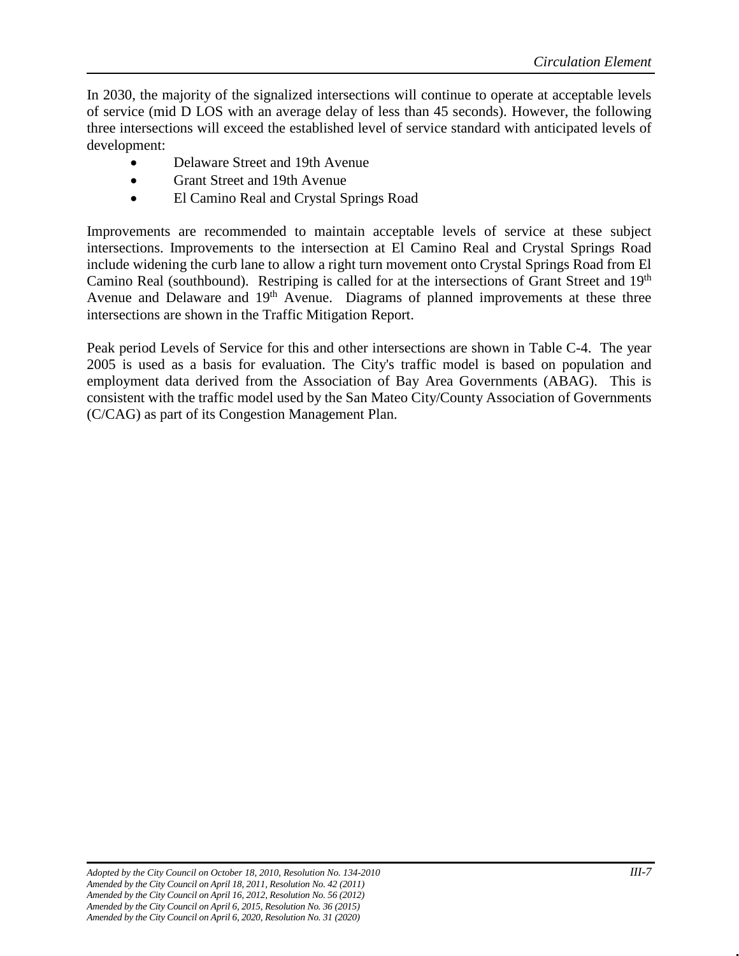In 2030, the majority of the signalized intersections will continue to operate at acceptable levels of service (mid D LOS with an average delay of less than 45 seconds). However, the following three intersections will exceed the established level of service standard with anticipated levels of development:

- Delaware Street and 19th Avenue
- Grant Street and 19th Avenue
- El Camino Real and Crystal Springs Road

Improvements are recommended to maintain acceptable levels of service at these subject intersections. Improvements to the intersection at El Camino Real and Crystal Springs Road include widening the curb lane to allow a right turn movement onto Crystal Springs Road from El Camino Real (southbound). Restriping is called for at the intersections of Grant Street and 19<sup>th</sup> Avenue and Delaware and  $19<sup>th</sup>$  Avenue. Diagrams of planned improvements at these three intersections are shown in the Traffic Mitigation Report.

Peak period Levels of Service for this and other intersections are shown in Table C-4. The year 2005 is used as a basis for evaluation. The City's traffic model is based on population and employment data derived from the Association of Bay Area Governments (ABAG). This is consistent with the traffic model used by the San Mateo City/County Association of Governments (C/CAG) as part of its Congestion Management Plan.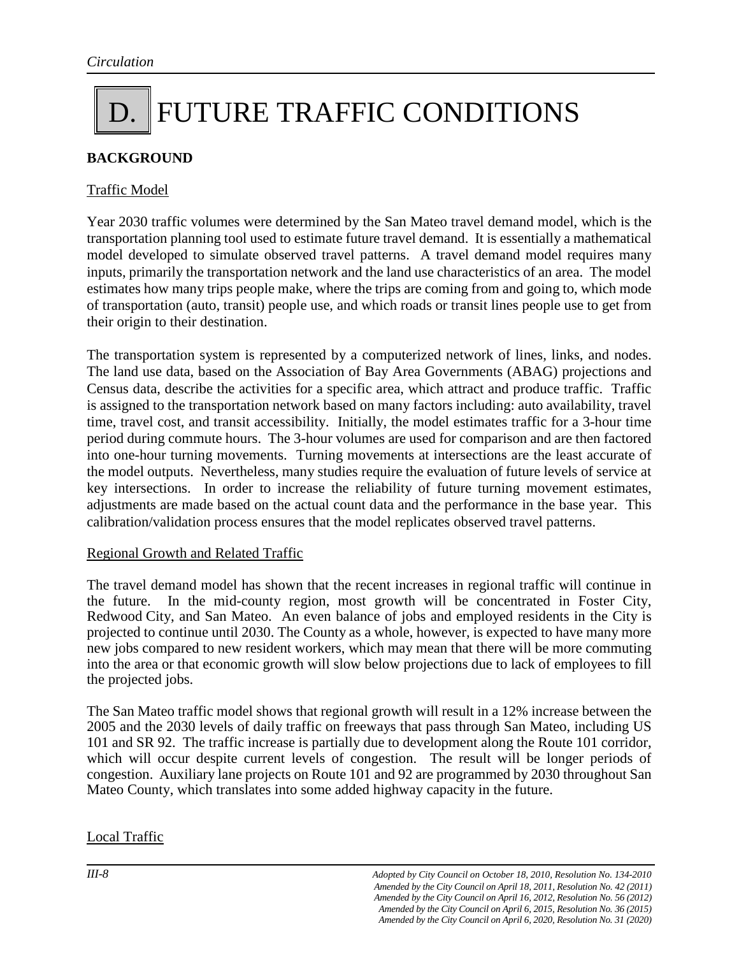### D. FUTURE TRAFFIC CONDITIONS

#### **BACKGROUND**

#### Traffic Model

Year 2030 traffic volumes were determined by the San Mateo travel demand model, which is the transportation planning tool used to estimate future travel demand. It is essentially a mathematical model developed to simulate observed travel patterns. A travel demand model requires many inputs, primarily the transportation network and the land use characteristics of an area. The model estimates how many trips people make, where the trips are coming from and going to, which mode of transportation (auto, transit) people use, and which roads or transit lines people use to get from their origin to their destination.

The transportation system is represented by a computerized network of lines, links, and nodes. The land use data, based on the Association of Bay Area Governments (ABAG) projections and Census data, describe the activities for a specific area, which attract and produce traffic. Traffic is assigned to the transportation network based on many factors including: auto availability, travel time, travel cost, and transit accessibility. Initially, the model estimates traffic for a 3-hour time period during commute hours. The 3-hour volumes are used for comparison and are then factored into one-hour turning movements. Turning movements at intersections are the least accurate of the model outputs. Nevertheless, many studies require the evaluation of future levels of service at key intersections. In order to increase the reliability of future turning movement estimates, adjustments are made based on the actual count data and the performance in the base year. This calibration/validation process ensures that the model replicates observed travel patterns.

#### Regional Growth and Related Traffic

The travel demand model has shown that the recent increases in regional traffic will continue in the future. In the mid-county region, most growth will be concentrated in Foster City, Redwood City, and San Mateo. An even balance of jobs and employed residents in the City is projected to continue until 2030. The County as a whole, however, is expected to have many more new jobs compared to new resident workers, which may mean that there will be more commuting into the area or that economic growth will slow below projections due to lack of employees to fill the projected jobs.

The San Mateo traffic model shows that regional growth will result in a 12% increase between the 2005 and the 2030 levels of daily traffic on freeways that pass through San Mateo, including US 101 and SR 92. The traffic increase is partially due to development along the Route 101 corridor, which will occur despite current levels of congestion. The result will be longer periods of congestion. Auxiliary lane projects on Route 101 and 92 are programmed by 2030 throughout San Mateo County, which translates into some added highway capacity in the future.

#### Local Traffic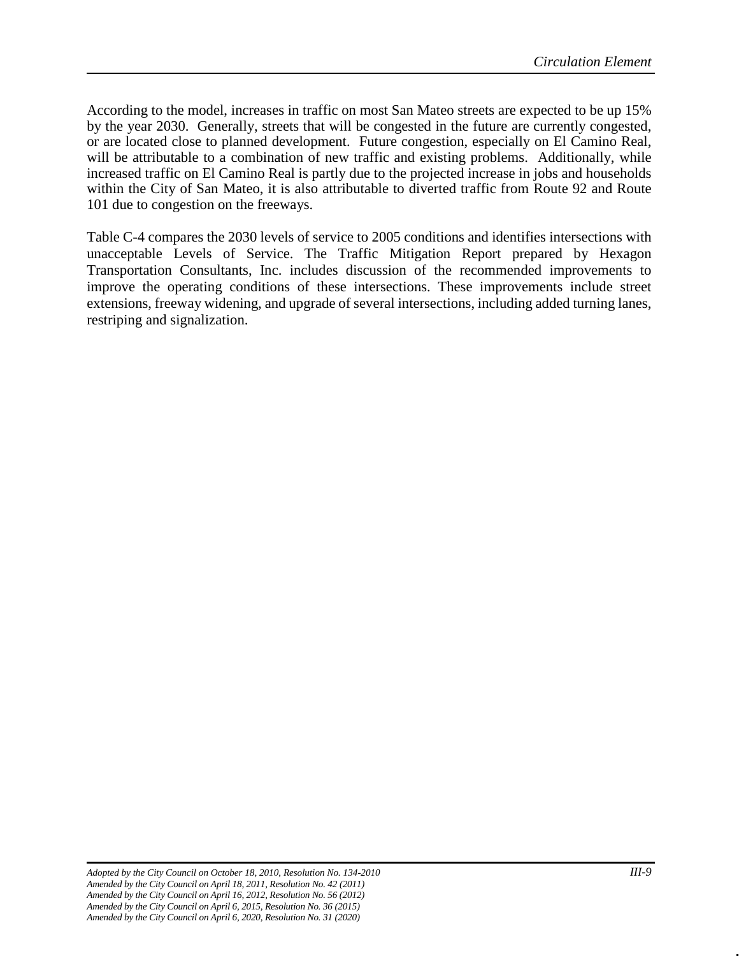According to the model, increases in traffic on most San Mateo streets are expected to be up 15% by the year 2030. Generally, streets that will be congested in the future are currently congested, or are located close to planned development. Future congestion, especially on El Camino Real, will be attributable to a combination of new traffic and existing problems. Additionally, while increased traffic on El Camino Real is partly due to the projected increase in jobs and households within the City of San Mateo, it is also attributable to diverted traffic from Route 92 and Route 101 due to congestion on the freeways.

Table C-4 compares the 2030 levels of service to 2005 conditions and identifies intersections with unacceptable Levels of Service. The Traffic Mitigation Report prepared by Hexagon Transportation Consultants, Inc. includes discussion of the recommended improvements to improve the operating conditions of these intersections. These improvements include street extensions, freeway widening, and upgrade of several intersections, including added turning lanes, restriping and signalization.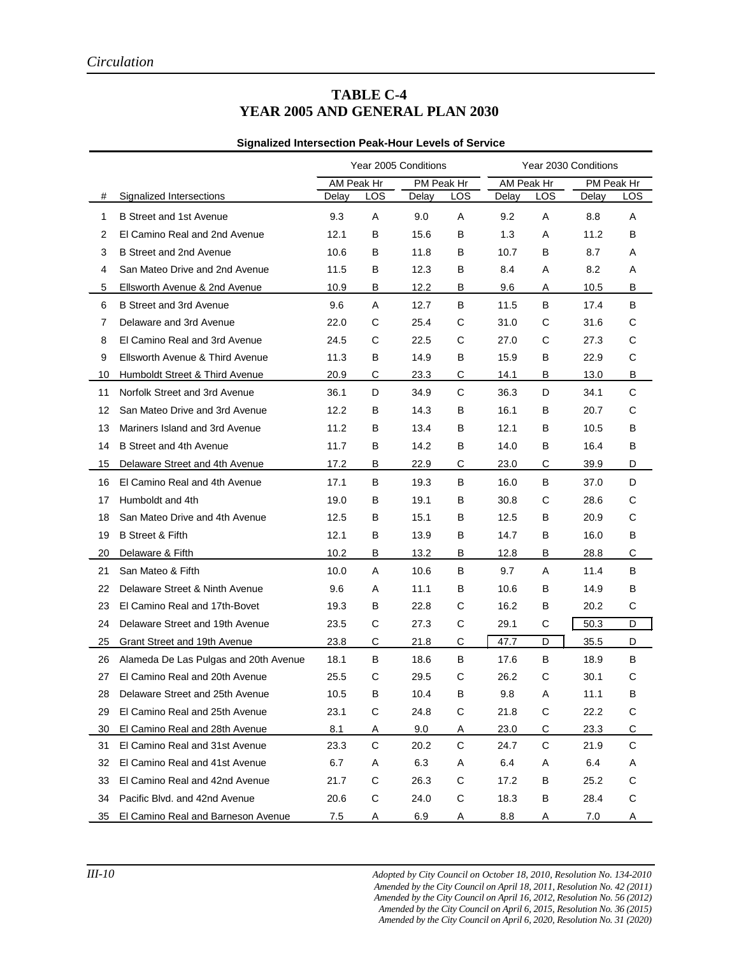#### **TABLE C-4 YEAR 2005 AND GENERAL PLAN 2030**

#### **Signalized Intersection Peak-Hour Levels of Service**

|                |                                       | Year 2005 Conditions |             | Year 2030 Conditions |              |            |             |            |             |
|----------------|---------------------------------------|----------------------|-------------|----------------------|--------------|------------|-------------|------------|-------------|
|                |                                       | AM Peak Hr           |             | PM Peak Hr           |              | AM Peak Hr |             | PM Peak Hr |             |
| #              | Signalized Intersections              | Delay                | LOS         | Delay                | LOS          | Delay      | LOS         | Delay      | LOS         |
| 1              | <b>B Street and 1st Avenue</b>        | 9.3                  | A           | 9.0                  | A            | 9.2        | Α           | 8.8        | Α           |
| 2              | El Camino Real and 2nd Avenue         | 12.1                 | В           | 15.6                 | B            | 1.3        | A           | 11.2       | В           |
| 3              | B Street and 2nd Avenue               | 10.6                 | В           | 11.8                 | В            | 10.7       | В           | 8.7        | Α           |
| 4              | San Mateo Drive and 2nd Avenue        | 11.5                 | В           | 12.3                 | В            | 8.4        | Α           | 8.2        | Α           |
| 5              | Ellsworth Avenue & 2nd Avenue         | 10.9                 | В           | 12.2                 | В            | 9.6        | Α           | 10.5       | В           |
| 6              | B Street and 3rd Avenue               | 9.6                  | A           | 12.7                 | B            | 11.5       | В           | 17.4       | В           |
| $\overline{7}$ | Delaware and 3rd Avenue               | 22.0                 | C           | 25.4                 | C            | 31.0       | C           | 31.6       | С           |
| 8              | El Camino Real and 3rd Avenue         | 24.5                 | C           | 22.5                 | C            | 27.0       | C           | 27.3       | C           |
| 9              | Ellsworth Avenue & Third Avenue       | 11.3                 | В           | 14.9                 | В            | 15.9       | В           | 22.9       | $\mathbf C$ |
| 10             | Humboldt Street & Third Avenue        | 20.9                 | С           | 23.3                 | С            | 14.1       | В           | 13.0       | В           |
| 11             | Norfolk Street and 3rd Avenue         | 36.1                 | D           | 34.9                 | $\mathsf{C}$ | 36.3       | D           | 34.1       | C           |
| 12             | San Mateo Drive and 3rd Avenue        | 12.2                 | В           | 14.3                 | B            | 16.1       | В           | 20.7       | C           |
| 13             | Mariners Island and 3rd Avenue        | 11.2                 | В           | 13.4                 | B            | 12.1       | В           | 10.5       | В           |
| 14             | B Street and 4th Avenue               | 11.7                 | B           | 14.2                 | B            | 14.0       | В           | 16.4       | В           |
| 15             | Delaware Street and 4th Avenue        | 17.2                 | В           | 22.9                 | C            | 23.0       | С           | 39.9       | D           |
| 16             | El Camino Real and 4th Avenue         | 17.1                 | В           | 19.3                 | B            | 16.0       | В           | 37.0       | D           |
| 17             | Humboldt and 4th                      | 19.0                 | В           | 19.1                 | В            | 30.8       | С           | 28.6       | С           |
| 18             | San Mateo Drive and 4th Avenue        | 12.5                 | В           | 15.1                 | В            | 12.5       | В           | 20.9       | C           |
| 19             | <b>B</b> Street & Fifth               | 12.1                 | В           | 13.9                 | В            | 14.7       | В           | 16.0       | В           |
| 20             | Delaware & Fifth                      | 10.2                 | В           | 13.2                 | B            | 12.8       | B           | 28.8       | C           |
| 21             | San Mateo & Fifth                     | 10.0                 | Α           | 10.6                 | В            | 9.7        | A           | 11.4       | В           |
| 22             | Delaware Street & Ninth Avenue        | 9.6                  | Α           | 11.1                 | В            | 10.6       | В           | 14.9       | В           |
| 23             | El Camino Real and 17th-Bovet         | 19.3                 | В           | 22.8                 | C            | 16.2       | В           | 20.2       | С           |
| 24             | Delaware Street and 19th Avenue       | 23.5                 | С           | 27.3                 | C            | 29.1       | С           | 50.3       | D           |
| 25             | Grant Street and 19th Avenue          | 23.8                 | С           | 21.8                 | C            | 47.7       | D           | 35.5       | D           |
| 26             | Alameda De Las Pulgas and 20th Avenue | 18.1                 | В           | 18.6                 | В            | 17.6       | В           | 18.9       | В           |
| 27             | El Camino Real and 20th Avenue        | 25.5                 | С           | 29.5                 | С            | 26.2       | C           | 30.1       | C           |
| 28             | Delaware Street and 25th Avenue       | 10.5                 | в           | 10.4                 | в            | 9.8        | Α           | 11.1       | В           |
| 29             | El Camino Real and 25th Avenue        | 23.1                 | C           | 24.8                 | С            | 21.8       | $\mathsf C$ | 22.2       | C           |
| 30             | El Camino Real and 28th Avenue        | 8.1                  | Α           | 9.0                  | Α            | 23.0       | С           | 23.3       | С           |
| 31             | El Camino Real and 31st Avenue        | 23.3                 | C           | 20.2                 | $\mathsf C$  | 24.7       | C           | 21.9       | C           |
| 32             | El Camino Real and 41st Avenue        | 6.7                  | A           | 6.3                  | Α            | 6.4        | Α           | 6.4        | Α           |
| 33             | El Camino Real and 42nd Avenue        | 21.7                 | С           | 26.3                 | С            | 17.2       | В           | 25.2       | С           |
| 34             | Pacific Blvd. and 42nd Avenue         | 20.6                 | $\mathsf C$ | 24.0                 | С            | 18.3       | В           | 28.4       | C           |
| 35             | El Camino Real and Barneson Avenue    | 7.5                  | A           | 6.9                  | Α            | 8.8        | A           | 7.0        | A           |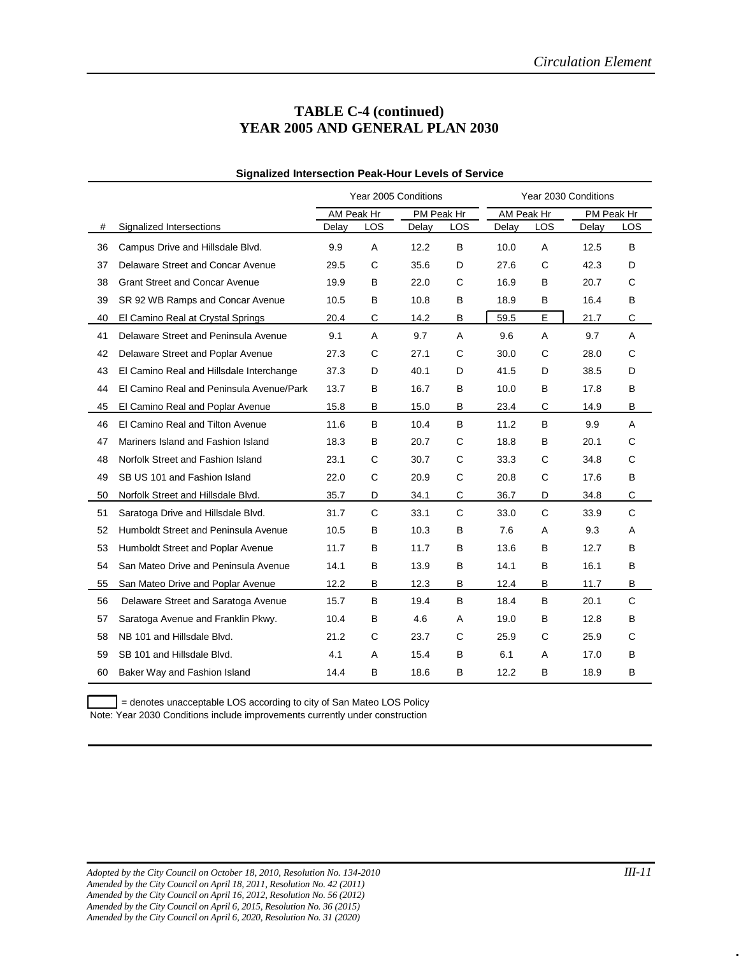#### **TABLE C-4 (continued) YEAR 2005 AND GENERAL PLAN 2030**

|    |                                          | Year 2005 Conditions     |     |            | Year 2030 Conditions |            |              |       |             |
|----|------------------------------------------|--------------------------|-----|------------|----------------------|------------|--------------|-------|-------------|
|    |                                          | AM Peak Hr<br>PM Peak Hr |     | AM Peak Hr |                      | PM Peak Hr |              |       |             |
| #  | Signalized Intersections                 | Delay                    | LOS | Delay      | LOS                  | Delay      | LOS          | Delay | LOS         |
| 36 | Campus Drive and Hillsdale Blvd.         | 9.9                      | A   | 12.2       | B                    | 10.0       | A            | 12.5  | B           |
| 37 | Delaware Street and Concar Avenue        | 29.5                     | C   | 35.6       | D                    | 27.6       | C            | 42.3  | D           |
| 38 | <b>Grant Street and Concar Avenue</b>    | 19.9                     | B   | 22.0       | C                    | 16.9       | B            | 20.7  | C           |
| 39 | SR 92 WB Ramps and Concar Avenue         | 10.5                     | B   | 10.8       | B                    | 18.9       | B            | 16.4  | в           |
| 40 | El Camino Real at Crystal Springs        | 20.4                     | С   | 14.2       | B                    | 59.5       | E            | 21.7  | С           |
| 41 | Delaware Street and Peninsula Avenue     | 9.1                      | A   | 9.7        | A                    | 9.6        | A            | 9.7   | Α           |
| 42 | Delaware Street and Poplar Avenue        | 27.3                     | C   | 27.1       | C                    | 30.0       | C            | 28.0  | C           |
| 43 | El Camino Real and Hillsdale Interchange | 37.3                     | D   | 40.1       | D                    | 41.5       | D            | 38.5  | D           |
| 44 | El Camino Real and Peninsula Avenue/Park | 13.7                     | в   | 16.7       | B                    | 10.0       | B            | 17.8  | В           |
| 45 | El Camino Real and Poplar Avenue         | 15.8                     | B   | 15.0       | B                    | 23.4       | C            | 14.9  | B           |
| 46 | El Camino Real and Tilton Avenue         | 11.6                     | B   | 10.4       | B                    | 11.2       | B            | 9.9   | A           |
| 47 | Mariners Island and Fashion Island       | 18.3                     | B   | 20.7       | C                    | 18.8       | B            | 20.1  | C           |
| 48 | Norfolk Street and Fashion Island        | 23.1                     | C   | 30.7       | C                    | 33.3       | C            | 34.8  | C           |
| 49 | SB US 101 and Fashion Island             | 22.0                     | C   | 20.9       | C                    | 20.8       | C            | 17.6  | B           |
| 50 | Norfolk Street and Hillsdale Blvd.       | 35.7                     | D   | 34.1       | C                    | 36.7       | D            | 34.8  | $\mathsf C$ |
| 51 | Saratoga Drive and Hillsdale Blvd.       | 31.7                     | C   | 33.1       | $\mathsf{C}$         | 33.0       | $\mathsf{C}$ | 33.9  | $\mathsf C$ |
| 52 | Humboldt Street and Peninsula Avenue     | 10.5                     | в   | 10.3       | B                    | 7.6        | Α            | 9.3   | Α           |
| 53 | Humboldt Street and Poplar Avenue        | 11.7                     | B   | 11.7       | B                    | 13.6       | B            | 12.7  | в           |
| 54 | San Mateo Drive and Peninsula Avenue     | 14.1                     | в   | 13.9       | B                    | 14.1       | B            | 16.1  | в           |
| 55 | San Mateo Drive and Poplar Avenue        | 12.2                     | в   | 12.3       | B                    | 12.4       | B            | 11.7  | В           |
| 56 | Delaware Street and Saratoga Avenue      | 15.7                     | B   | 19.4       | B                    | 18.4       | B            | 20.1  | C           |
| 57 | Saratoga Avenue and Franklin Pkwy.       | 10.4                     | В   | 4.6        | A                    | 19.0       | B            | 12.8  | в           |
| 58 | NB 101 and Hillsdale Blvd.               | 21.2                     | C   | 23.7       | C                    | 25.9       | C            | 25.9  | C           |
| 59 | SB 101 and Hillsdale Blvd.               | 4.1                      | A   | 15.4       | В                    | 6.1        | A            | 17.0  | В           |
| 60 | Baker Way and Fashion Island             | 14.4                     | в   | 18.6       | B                    | 12.2       | B            | 18.9  | В           |

#### **Signalized Intersection Peak-Hour Levels of Service**

= denotes unacceptable LOS according to city of San Mateo LOS Policy Note: Year 2030 Conditions include improvements currently under construction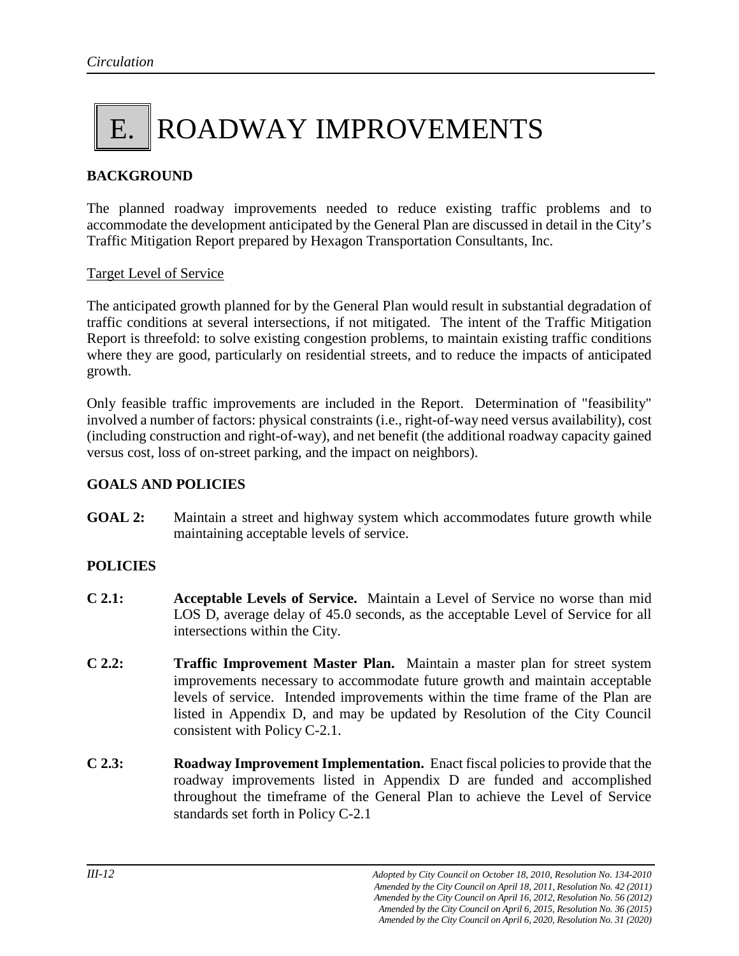# E. ROADWAY IMPROVEMENTS

#### **BACKGROUND**

The planned roadway improvements needed to reduce existing traffic problems and to accommodate the development anticipated by the General Plan are discussed in detail in the City's Traffic Mitigation Report prepared by Hexagon Transportation Consultants, Inc.

#### Target Level of Service

The anticipated growth planned for by the General Plan would result in substantial degradation of traffic conditions at several intersections, if not mitigated. The intent of the Traffic Mitigation Report is threefold: to solve existing congestion problems, to maintain existing traffic conditions where they are good, particularly on residential streets, and to reduce the impacts of anticipated growth.

Only feasible traffic improvements are included in the Report. Determination of "feasibility" involved a number of factors: physical constraints (i.e., right-of-way need versus availability), cost (including construction and right-of-way), and net benefit (the additional roadway capacity gained versus cost, loss of on-street parking, and the impact on neighbors).

#### **GOALS AND POLICIES**

**GOAL 2:** Maintain a street and highway system which accommodates future growth while maintaining acceptable levels of service.

#### **POLICIES**

- **C 2.1: Acceptable Levels of Service.** Maintain a Level of Service no worse than mid LOS D, average delay of 45.0 seconds, as the acceptable Level of Service for all intersections within the City.
- **C 2.2: Traffic Improvement Master Plan.** Maintain a master plan for street system improvements necessary to accommodate future growth and maintain acceptable levels of service. Intended improvements within the time frame of the Plan are listed in Appendix D, and may be updated by Resolution of the City Council consistent with Policy C-2.1.
- **C 2.3: Roadway Improvement Implementation.** Enact fiscal policies to provide that the roadway improvements listed in Appendix D are funded and accomplished throughout the timeframe of the General Plan to achieve the Level of Service standards set forth in Policy C-2.1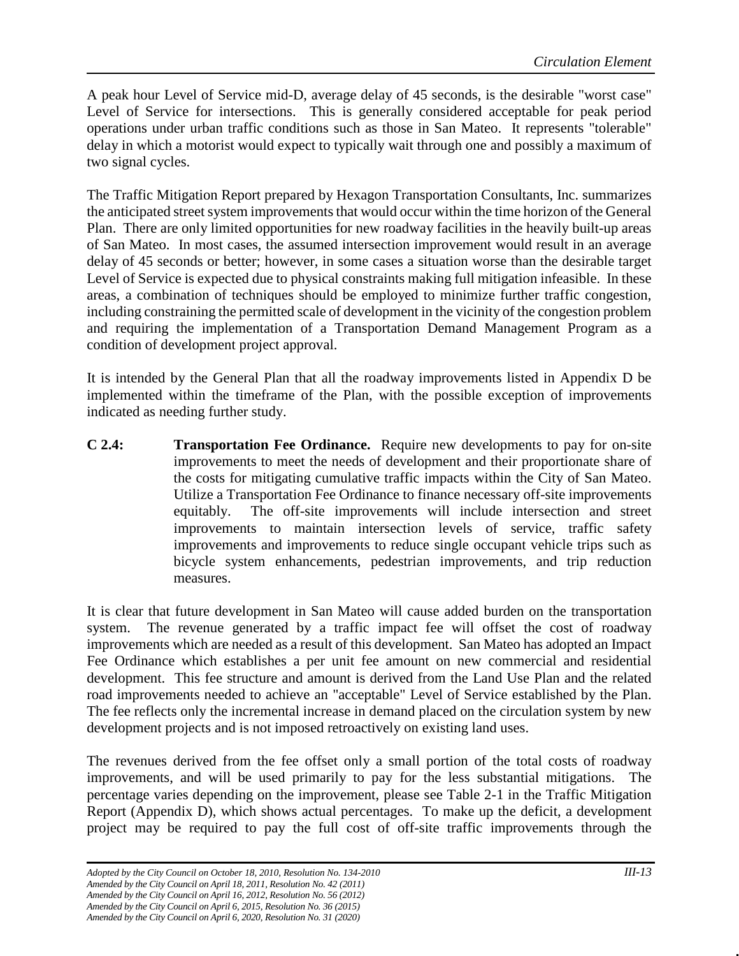A peak hour Level of Service mid-D, average delay of 45 seconds, is the desirable "worst case" Level of Service for intersections. This is generally considered acceptable for peak period operations under urban traffic conditions such as those in San Mateo. It represents "tolerable" delay in which a motorist would expect to typically wait through one and possibly a maximum of two signal cycles.

The Traffic Mitigation Report prepared by Hexagon Transportation Consultants, Inc. summarizes the anticipated street system improvements that would occur within the time horizon of the General Plan. There are only limited opportunities for new roadway facilities in the heavily built-up areas of San Mateo. In most cases, the assumed intersection improvement would result in an average delay of 45 seconds or better; however, in some cases a situation worse than the desirable target Level of Service is expected due to physical constraints making full mitigation infeasible. In these areas, a combination of techniques should be employed to minimize further traffic congestion, including constraining the permitted scale of development in the vicinity of the congestion problem and requiring the implementation of a Transportation Demand Management Program as a condition of development project approval.

It is intended by the General Plan that all the roadway improvements listed in Appendix D be implemented within the timeframe of the Plan, with the possible exception of improvements indicated as needing further study.

**C 2.4: Transportation Fee Ordinance.** Require new developments to pay for on-site improvements to meet the needs of development and their proportionate share of the costs for mitigating cumulative traffic impacts within the City of San Mateo. Utilize a Transportation Fee Ordinance to finance necessary off-site improvements equitably. The off-site improvements will include intersection and street improvements to maintain intersection levels of service, traffic safety improvements and improvements to reduce single occupant vehicle trips such as bicycle system enhancements, pedestrian improvements, and trip reduction measures.

It is clear that future development in San Mateo will cause added burden on the transportation system. The revenue generated by a traffic impact fee will offset the cost of roadway improvements which are needed as a result of this development. San Mateo has adopted an Impact Fee Ordinance which establishes a per unit fee amount on new commercial and residential development. This fee structure and amount is derived from the Land Use Plan and the related road improvements needed to achieve an "acceptable" Level of Service established by the Plan. The fee reflects only the incremental increase in demand placed on the circulation system by new development projects and is not imposed retroactively on existing land uses.

The revenues derived from the fee offset only a small portion of the total costs of roadway improvements, and will be used primarily to pay for the less substantial mitigations. The percentage varies depending on the improvement, please see Table 2-1 in the Traffic Mitigation Report (Appendix D), which shows actual percentages. To make up the deficit, a development project may be required to pay the full cost of off-site traffic improvements through the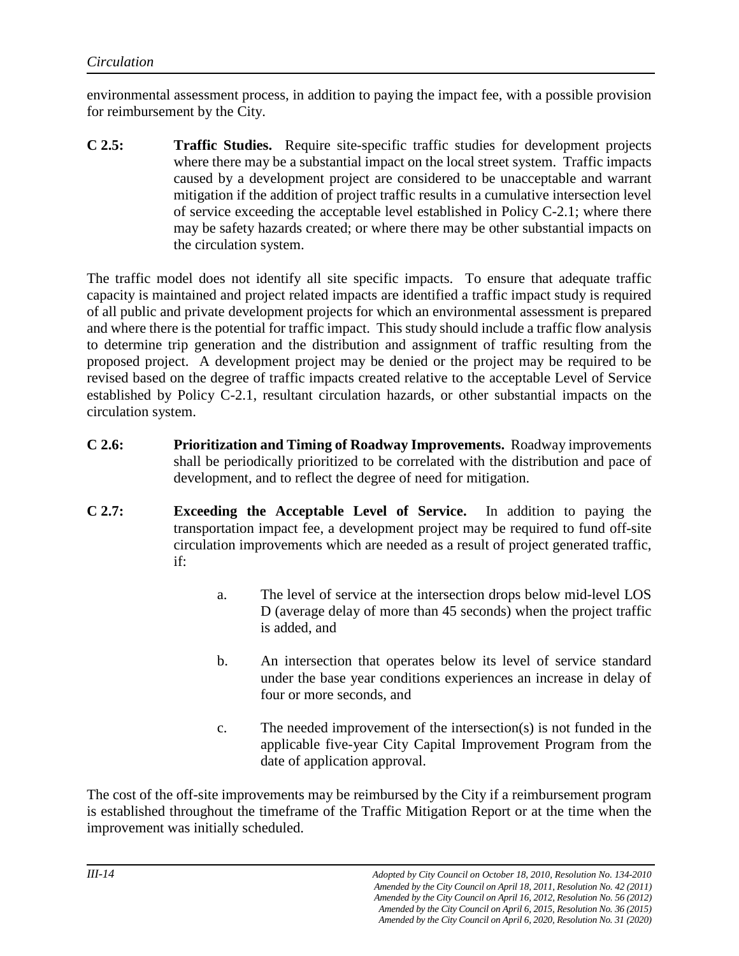environmental assessment process, in addition to paying the impact fee, with a possible provision for reimbursement by the City.

**C 2.5: Traffic Studies.** Require site-specific traffic studies for development projects where there may be a substantial impact on the local street system. Traffic impacts caused by a development project are considered to be unacceptable and warrant mitigation if the addition of project traffic results in a cumulative intersection level of service exceeding the acceptable level established in Policy C-2.1; where there may be safety hazards created; or where there may be other substantial impacts on the circulation system.

The traffic model does not identify all site specific impacts. To ensure that adequate traffic capacity is maintained and project related impacts are identified a traffic impact study is required of all public and private development projects for which an environmental assessment is prepared and where there is the potential for traffic impact. This study should include a traffic flow analysis to determine trip generation and the distribution and assignment of traffic resulting from the proposed project. A development project may be denied or the project may be required to be revised based on the degree of traffic impacts created relative to the acceptable Level of Service established by Policy C-2.1, resultant circulation hazards, or other substantial impacts on the circulation system.

- **C 2.6: Prioritization and Timing of Roadway Improvements.** Roadway improvements shall be periodically prioritized to be correlated with the distribution and pace of development, and to reflect the degree of need for mitigation.
- **C 2.7: Exceeding the Acceptable Level of Service.** In addition to paying the transportation impact fee, a development project may be required to fund off-site circulation improvements which are needed as a result of project generated traffic, if:
	- a. The level of service at the intersection drops below mid-level LOS D (average delay of more than 45 seconds) when the project traffic is added, and
	- b. An intersection that operates below its level of service standard under the base year conditions experiences an increase in delay of four or more seconds, and
	- c. The needed improvement of the intersection(s) is not funded in the applicable five-year City Capital Improvement Program from the date of application approval.

The cost of the off-site improvements may be reimbursed by the City if a reimbursement program is established throughout the timeframe of the Traffic Mitigation Report or at the time when the improvement was initially scheduled.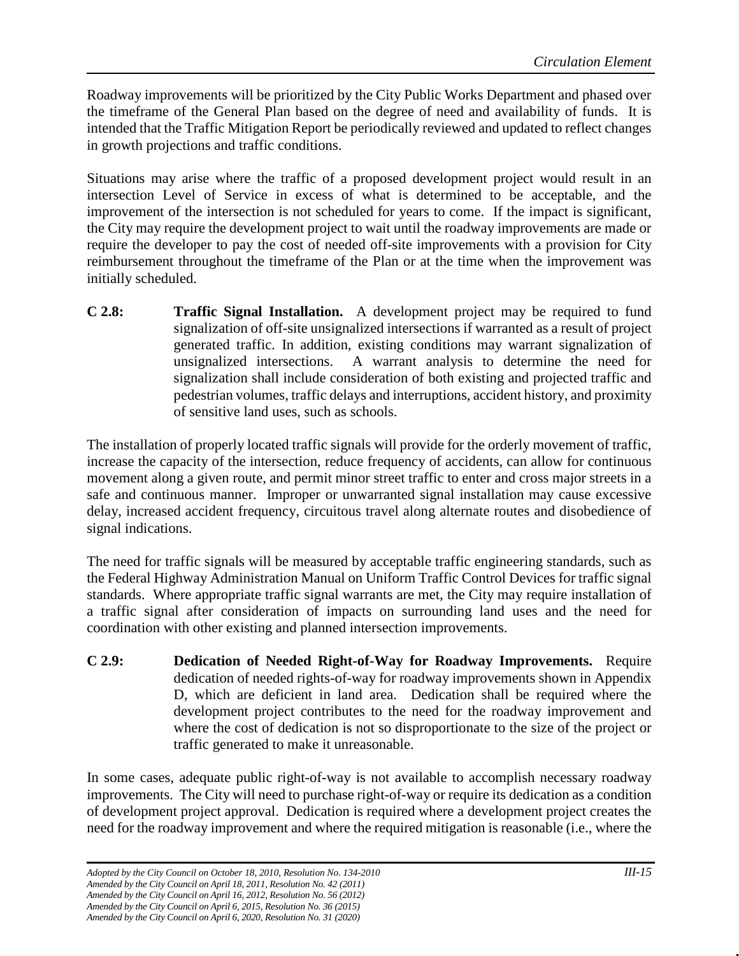Roadway improvements will be prioritized by the City Public Works Department and phased over the timeframe of the General Plan based on the degree of need and availability of funds. It is intended that the Traffic Mitigation Report be periodically reviewed and updated to reflect changes in growth projections and traffic conditions.

Situations may arise where the traffic of a proposed development project would result in an intersection Level of Service in excess of what is determined to be acceptable, and the improvement of the intersection is not scheduled for years to come. If the impact is significant, the City may require the development project to wait until the roadway improvements are made or require the developer to pay the cost of needed off-site improvements with a provision for City reimbursement throughout the timeframe of the Plan or at the time when the improvement was initially scheduled.

**C 2.8: Traffic Signal Installation.** A development project may be required to fund signalization of off-site unsignalized intersections if warranted as a result of project generated traffic. In addition, existing conditions may warrant signalization of unsignalized intersections. A warrant analysis to determine the need for signalization shall include consideration of both existing and projected traffic and pedestrian volumes, traffic delays and interruptions, accident history, and proximity of sensitive land uses, such as schools.

The installation of properly located traffic signals will provide for the orderly movement of traffic, increase the capacity of the intersection, reduce frequency of accidents, can allow for continuous movement along a given route, and permit minor street traffic to enter and cross major streets in a safe and continuous manner. Improper or unwarranted signal installation may cause excessive delay, increased accident frequency, circuitous travel along alternate routes and disobedience of signal indications.

The need for traffic signals will be measured by acceptable traffic engineering standards, such as the Federal Highway Administration Manual on Uniform Traffic Control Devices for traffic signal standards. Where appropriate traffic signal warrants are met, the City may require installation of a traffic signal after consideration of impacts on surrounding land uses and the need for coordination with other existing and planned intersection improvements.

**C 2.9: Dedication of Needed Right-of-Way for Roadway Improvements.** Require dedication of needed rights-of-way for roadway improvements shown in Appendix D, which are deficient in land area. Dedication shall be required where the development project contributes to the need for the roadway improvement and where the cost of dedication is not so disproportionate to the size of the project or traffic generated to make it unreasonable.

In some cases, adequate public right-of-way is not available to accomplish necessary roadway improvements. The City will need to purchase right-of-way or require its dedication as a condition of development project approval. Dedication is required where a development project creates the need for the roadway improvement and where the required mitigation is reasonable (i.e., where the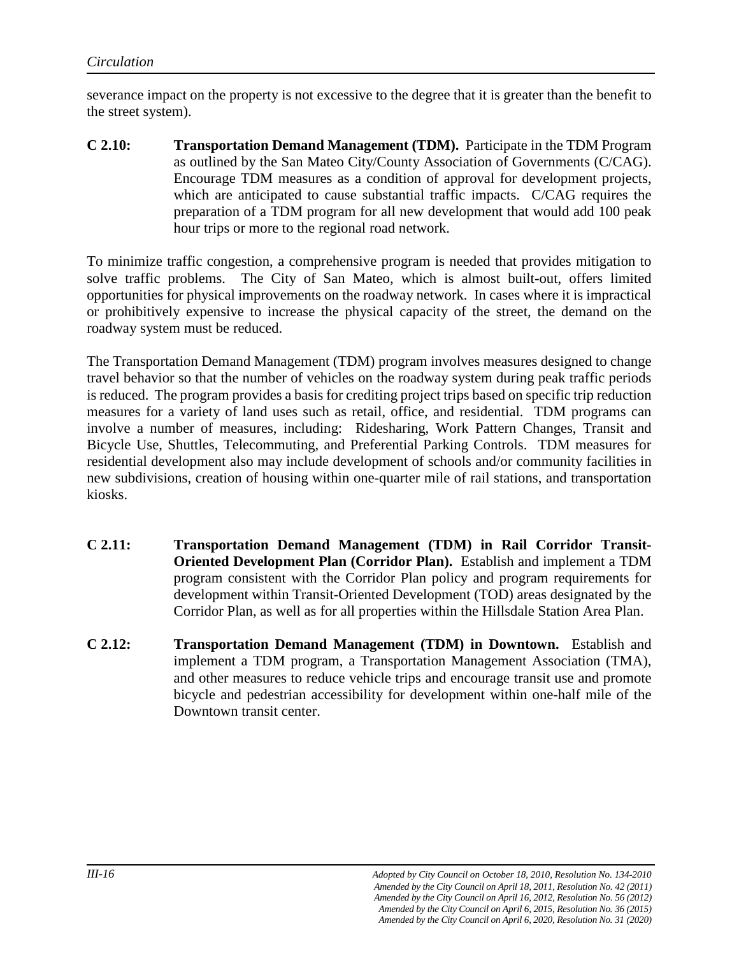severance impact on the property is not excessive to the degree that it is greater than the benefit to the street system).

**C 2.10: Transportation Demand Management (TDM).** Participate in the TDM Program as outlined by the San Mateo City/County Association of Governments (C/CAG). Encourage TDM measures as a condition of approval for development projects, which are anticipated to cause substantial traffic impacts. C/CAG requires the preparation of a TDM program for all new development that would add 100 peak hour trips or more to the regional road network.

To minimize traffic congestion, a comprehensive program is needed that provides mitigation to solve traffic problems. The City of San Mateo, which is almost built-out, offers limited opportunities for physical improvements on the roadway network. In cases where it is impractical or prohibitively expensive to increase the physical capacity of the street, the demand on the roadway system must be reduced.

The Transportation Demand Management (TDM) program involves measures designed to change travel behavior so that the number of vehicles on the roadway system during peak traffic periods is reduced. The program provides a basis for crediting project trips based on specific trip reduction measures for a variety of land uses such as retail, office, and residential. TDM programs can involve a number of measures, including: Ridesharing, Work Pattern Changes, Transit and Bicycle Use, Shuttles, Telecommuting, and Preferential Parking Controls. TDM measures for residential development also may include development of schools and/or community facilities in new subdivisions, creation of housing within one-quarter mile of rail stations, and transportation kiosks.

- **C 2.11: Transportation Demand Management (TDM) in Rail Corridor Transit-Oriented Development Plan (Corridor Plan).** Establish and implement a TDM program consistent with the Corridor Plan policy and program requirements for development within Transit-Oriented Development (TOD) areas designated by the Corridor Plan, as well as for all properties within the Hillsdale Station Area Plan.
- **C 2.12: Transportation Demand Management (TDM) in Downtown.** Establish and implement a TDM program, a Transportation Management Association (TMA), and other measures to reduce vehicle trips and encourage transit use and promote bicycle and pedestrian accessibility for development within one-half mile of the Downtown transit center.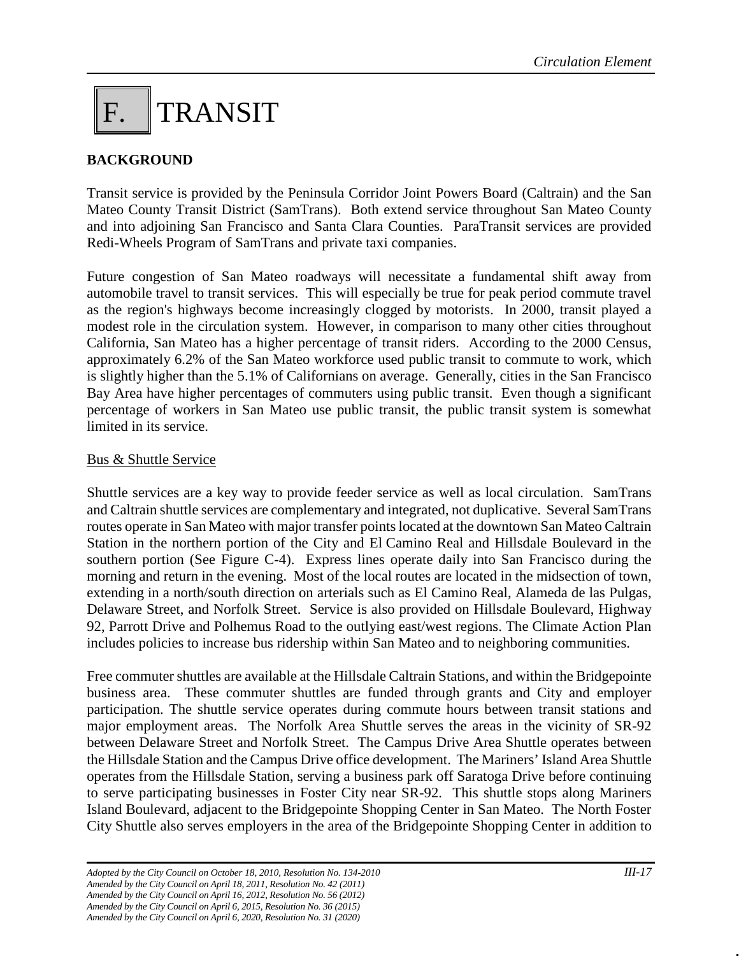## F. TRANSIT

#### **BACKGROUND**

Transit service is provided by the Peninsula Corridor Joint Powers Board (Caltrain) and the San Mateo County Transit District (SamTrans). Both extend service throughout San Mateo County and into adjoining San Francisco and Santa Clara Counties. ParaTransit services are provided Redi-Wheels Program of SamTrans and private taxi companies.

Future congestion of San Mateo roadways will necessitate a fundamental shift away from automobile travel to transit services. This will especially be true for peak period commute travel as the region's highways become increasingly clogged by motorists. In 2000, transit played a modest role in the circulation system. However, in comparison to many other cities throughout California, San Mateo has a higher percentage of transit riders. According to the 2000 Census, approximately 6.2% of the San Mateo workforce used public transit to commute to work, which is slightly higher than the 5.1% of Californians on average. Generally, cities in the San Francisco Bay Area have higher percentages of commuters using public transit. Even though a significant percentage of workers in San Mateo use public transit, the public transit system is somewhat limited in its service.

#### Bus & Shuttle Service

Shuttle services are a key way to provide feeder service as well as local circulation. SamTrans and Caltrain shuttle services are complementary and integrated, not duplicative. Several SamTrans routes operate in San Mateo with major transfer points located at the downtown San Mateo Caltrain Station in the northern portion of the City and El Camino Real and Hillsdale Boulevard in the southern portion (See Figure C-4). Express lines operate daily into San Francisco during the morning and return in the evening. Most of the local routes are located in the midsection of town, extending in a north/south direction on arterials such as El Camino Real, Alameda de las Pulgas, Delaware Street, and Norfolk Street. Service is also provided on Hillsdale Boulevard, Highway 92, Parrott Drive and Polhemus Road to the outlying east/west regions. The Climate Action Plan includes policies to increase bus ridership within San Mateo and to neighboring communities.

Free commuter shuttles are available at the Hillsdale Caltrain Stations, and within the Bridgepointe business area. These commuter shuttles are funded through grants and City and employer participation. The shuttle service operates during commute hours between transit stations and major employment areas. The Norfolk Area Shuttle serves the areas in the vicinity of SR-92 between Delaware Street and Norfolk Street. The Campus Drive Area Shuttle operates between the Hillsdale Station and the Campus Drive office development. The Mariners' Island Area Shuttle operates from the Hillsdale Station, serving a business park off Saratoga Drive before continuing to serve participating businesses in Foster City near SR-92. This shuttle stops along Mariners Island Boulevard, adjacent to the Bridgepointe Shopping Center in San Mateo. The North Foster City Shuttle also serves employers in the area of the Bridgepointe Shopping Center in addition to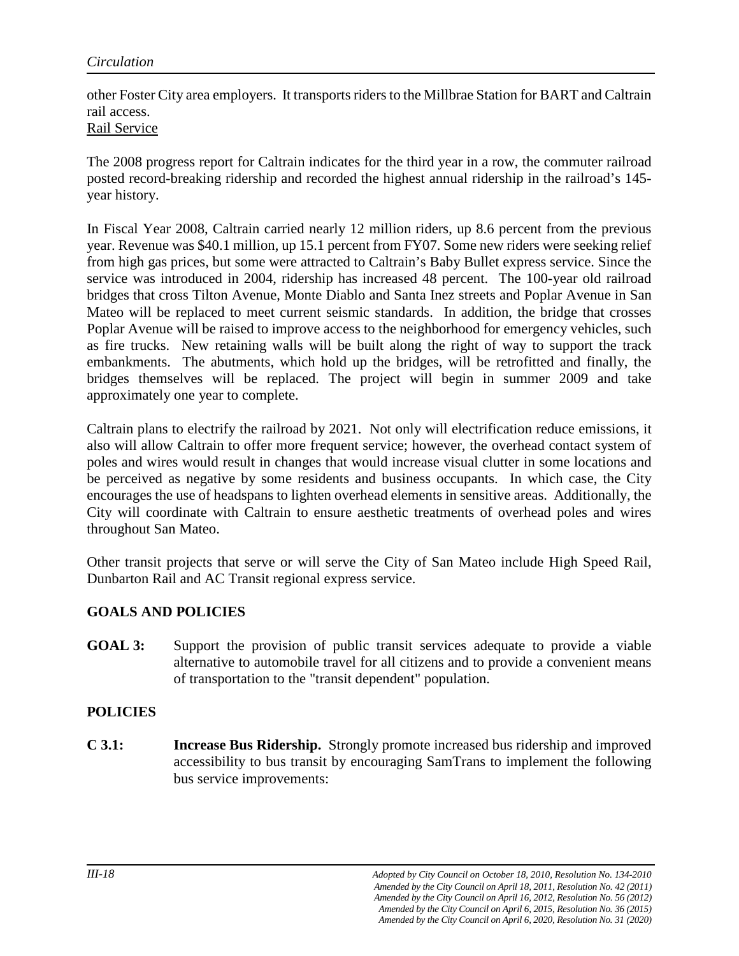other Foster City area employers. It transports riders to the Millbrae Station for BART and Caltrain rail access.

#### Rail Service

The 2008 progress report for Caltrain indicates for the third year in a row, the commuter railroad posted record-breaking ridership and recorded the highest annual ridership in the railroad's 145 year history.

In Fiscal Year 2008, Caltrain carried nearly 12 million riders, up 8.6 percent from the previous year. Revenue was \$40.1 million, up 15.1 percent from FY07. Some new riders were seeking relief from high gas prices, but some were attracted to Caltrain's Baby Bullet express service. Since the service was introduced in 2004, ridership has increased 48 percent. The 100-year old railroad bridges that cross Tilton Avenue, Monte Diablo and Santa Inez streets and Poplar Avenue in San Mateo will be replaced to meet current seismic standards. In addition, the bridge that crosses Poplar Avenue will be raised to improve access to the neighborhood for emergency vehicles, such as fire trucks. New retaining walls will be built along the right of way to support the track embankments. The abutments, which hold up the bridges, will be retrofitted and finally, the bridges themselves will be replaced. The project will begin in summer 2009 and take approximately one year to complete.

Caltrain plans to electrify the railroad by 2021. Not only will electrification reduce emissions, it also will allow Caltrain to offer more frequent service; however, the overhead contact system of poles and wires would result in changes that would increase visual clutter in some locations and be perceived as negative by some residents and business occupants. In which case, the City encourages the use of headspans to lighten overhead elements in sensitive areas. Additionally, the City will coordinate with Caltrain to ensure aesthetic treatments of overhead poles and wires throughout San Mateo.

Other transit projects that serve or will serve the City of San Mateo include High Speed Rail, Dunbarton Rail and AC Transit regional express service.

#### **GOALS AND POLICIES**

**GOAL 3:** Support the provision of public transit services adequate to provide a viable alternative to automobile travel for all citizens and to provide a convenient means of transportation to the "transit dependent" population.

#### **POLICIES**

**C 3.1: Increase Bus Ridership.** Strongly promote increased bus ridership and improved accessibility to bus transit by encouraging SamTrans to implement the following bus service improvements: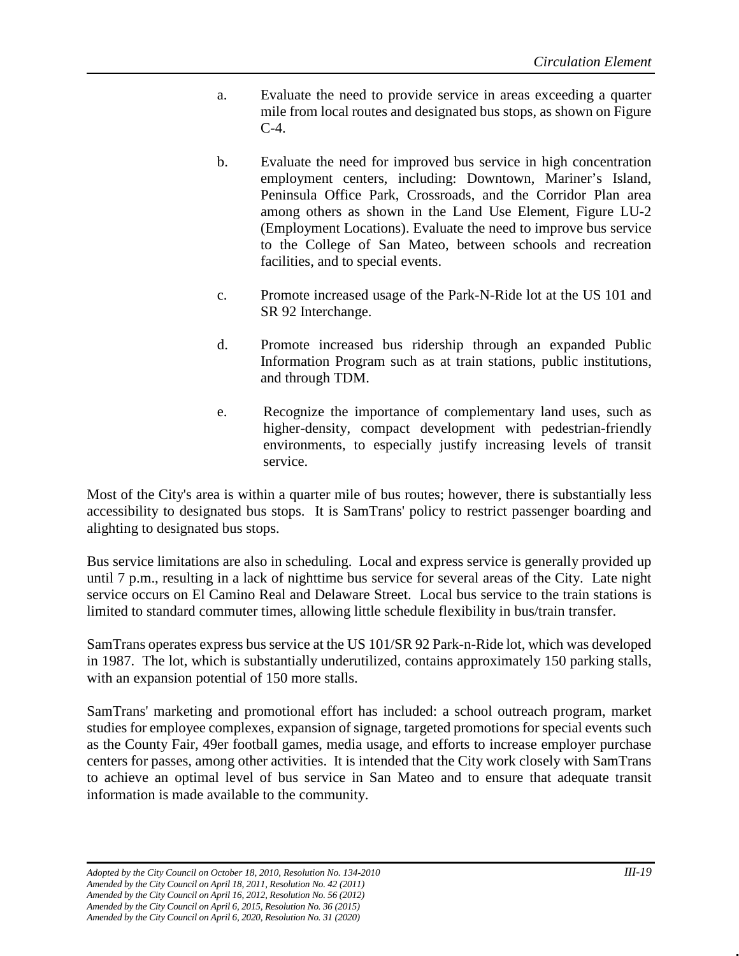- a. Evaluate the need to provide service in areas exceeding a quarter mile from local routes and designated bus stops, as shown on Figure C-4.
- b. Evaluate the need for improved bus service in high concentration employment centers, including: Downtown, Mariner's Island, Peninsula Office Park, Crossroads, and the Corridor Plan area among others as shown in the Land Use Element, Figure LU-2 (Employment Locations). Evaluate the need to improve bus service to the College of San Mateo, between schools and recreation facilities, and to special events.
- c. Promote increased usage of the Park-N-Ride lot at the US 101 and SR 92 Interchange.
- d. Promote increased bus ridership through an expanded Public Information Program such as at train stations, public institutions, and through TDM.
- e. Recognize the importance of complementary land uses, such as higher-density, compact development with pedestrian-friendly environments, to especially justify increasing levels of transit service.

Most of the City's area is within a quarter mile of bus routes; however, there is substantially less accessibility to designated bus stops. It is SamTrans' policy to restrict passenger boarding and alighting to designated bus stops.

Bus service limitations are also in scheduling. Local and express service is generally provided up until 7 p.m., resulting in a lack of nighttime bus service for several areas of the City. Late night service occurs on El Camino Real and Delaware Street. Local bus service to the train stations is limited to standard commuter times, allowing little schedule flexibility in bus/train transfer.

SamTrans operates express bus service at the US 101/SR 92 Park-n-Ride lot, which was developed in 1987. The lot, which is substantially underutilized, contains approximately 150 parking stalls, with an expansion potential of 150 more stalls.

SamTrans' marketing and promotional effort has included: a school outreach program, market studies for employee complexes, expansion of signage, targeted promotions for special events such as the County Fair, 49er football games, media usage, and efforts to increase employer purchase centers for passes, among other activities. It is intended that the City work closely with SamTrans to achieve an optimal level of bus service in San Mateo and to ensure that adequate transit information is made available to the community.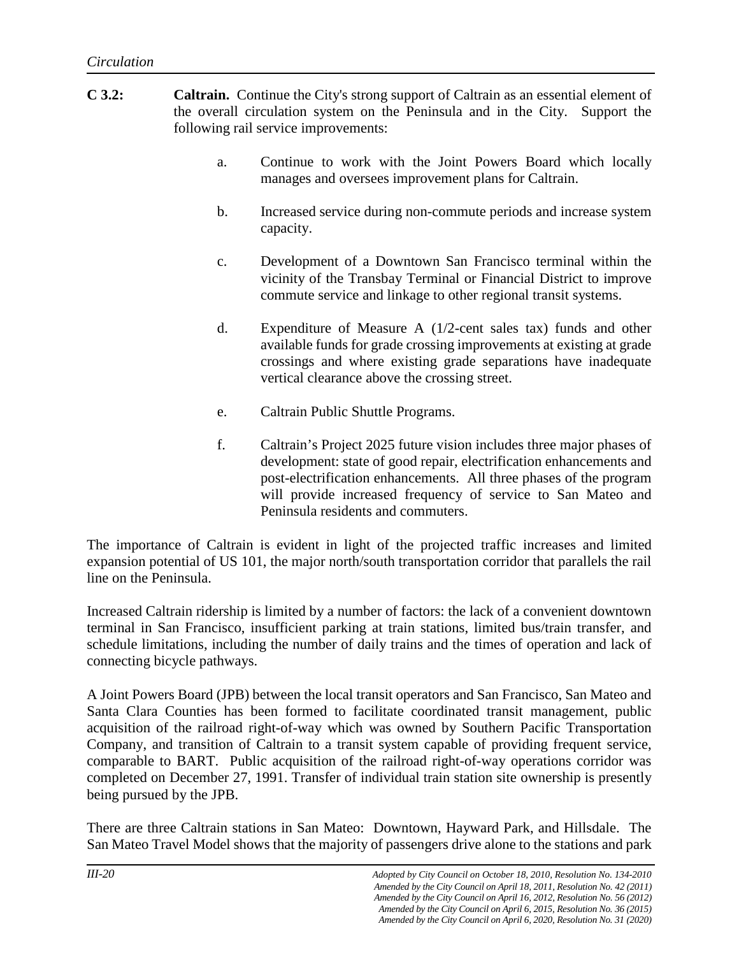- **C 3.2: Caltrain.** Continue the City's strong support of Caltrain as an essential element of the overall circulation system on the Peninsula and in the City. Support the following rail service improvements:
	- a. Continue to work with the Joint Powers Board which locally manages and oversees improvement plans for Caltrain.
	- b. Increased service during non-commute periods and increase system capacity.
	- c. Development of a Downtown San Francisco terminal within the vicinity of the Transbay Terminal or Financial District to improve commute service and linkage to other regional transit systems.
	- d. Expenditure of Measure A (1/2-cent sales tax) funds and other available funds for grade crossing improvements at existing at grade crossings and where existing grade separations have inadequate vertical clearance above the crossing street.
	- e. Caltrain Public Shuttle Programs.
	- f. Caltrain's Project 2025 future vision includes three major phases of development: state of good repair, electrification enhancements and post-electrification enhancements. All three phases of the program will provide increased frequency of service to San Mateo and Peninsula residents and commuters.

The importance of Caltrain is evident in light of the projected traffic increases and limited expansion potential of US 101, the major north/south transportation corridor that parallels the rail line on the Peninsula.

Increased Caltrain ridership is limited by a number of factors: the lack of a convenient downtown terminal in San Francisco, insufficient parking at train stations, limited bus/train transfer, and schedule limitations, including the number of daily trains and the times of operation and lack of connecting bicycle pathways.

A Joint Powers Board (JPB) between the local transit operators and San Francisco, San Mateo and Santa Clara Counties has been formed to facilitate coordinated transit management, public acquisition of the railroad right-of-way which was owned by Southern Pacific Transportation Company, and transition of Caltrain to a transit system capable of providing frequent service, comparable to BART. Public acquisition of the railroad right-of-way operations corridor was completed on December 27, 1991. Transfer of individual train station site ownership is presently being pursued by the JPB.

There are three Caltrain stations in San Mateo: Downtown, Hayward Park, and Hillsdale. The San Mateo Travel Model shows that the majority of passengers drive alone to the stations and park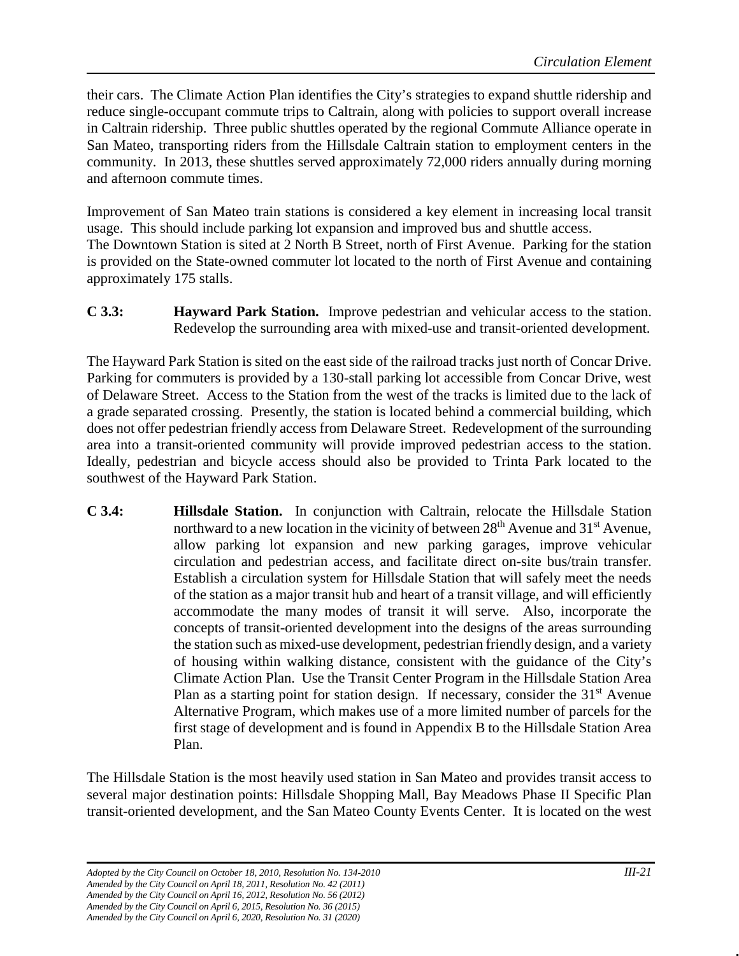their cars. The Climate Action Plan identifies the City's strategies to expand shuttle ridership and reduce single-occupant commute trips to Caltrain, along with policies to support overall increase in Caltrain ridership. Three public shuttles operated by the regional Commute Alliance operate in San Mateo, transporting riders from the Hillsdale Caltrain station to employment centers in the community. In 2013, these shuttles served approximately 72,000 riders annually during morning and afternoon commute times.

Improvement of San Mateo train stations is considered a key element in increasing local transit usage. This should include parking lot expansion and improved bus and shuttle access. The Downtown Station is sited at 2 North B Street, north of First Avenue. Parking for the station is provided on the State-owned commuter lot located to the north of First Avenue and containing approximately 175 stalls.

**C 3.3: Hayward Park Station.** Improve pedestrian and vehicular access to the station. Redevelop the surrounding area with mixed-use and transit-oriented development.

The Hayward Park Station is sited on the east side of the railroad tracks just north of Concar Drive. Parking for commuters is provided by a 130-stall parking lot accessible from Concar Drive, west of Delaware Street. Access to the Station from the west of the tracks is limited due to the lack of a grade separated crossing. Presently, the station is located behind a commercial building, which does not offer pedestrian friendly access from Delaware Street. Redevelopment of the surrounding area into a transit-oriented community will provide improved pedestrian access to the station. Ideally, pedestrian and bicycle access should also be provided to Trinta Park located to the southwest of the Hayward Park Station.

**C 3.4: Hillsdale Station.** In conjunction with Caltrain, relocate the Hillsdale Station northward to a new location in the vicinity of between  $28<sup>th</sup>$  Avenue and  $31<sup>st</sup>$  Avenue, allow parking lot expansion and new parking garages, improve vehicular circulation and pedestrian access, and facilitate direct on-site bus/train transfer. Establish a circulation system for Hillsdale Station that will safely meet the needs of the station as a major transit hub and heart of a transit village, and will efficiently accommodate the many modes of transit it will serve. Also, incorporate the concepts of transit-oriented development into the designs of the areas surrounding the station such as mixed-use development, pedestrian friendly design, and a variety of housing within walking distance, consistent with the guidance of the City's Climate Action Plan. Use the Transit Center Program in the Hillsdale Station Area Plan as a starting point for station design. If necessary, consider the  $31<sup>st</sup>$  Avenue Alternative Program, which makes use of a more limited number of parcels for the first stage of development and is found in Appendix B to the Hillsdale Station Area Plan.

The Hillsdale Station is the most heavily used station in San Mateo and provides transit access to several major destination points: Hillsdale Shopping Mall, Bay Meadows Phase II Specific Plan transit-oriented development, and the San Mateo County Events Center. It is located on the west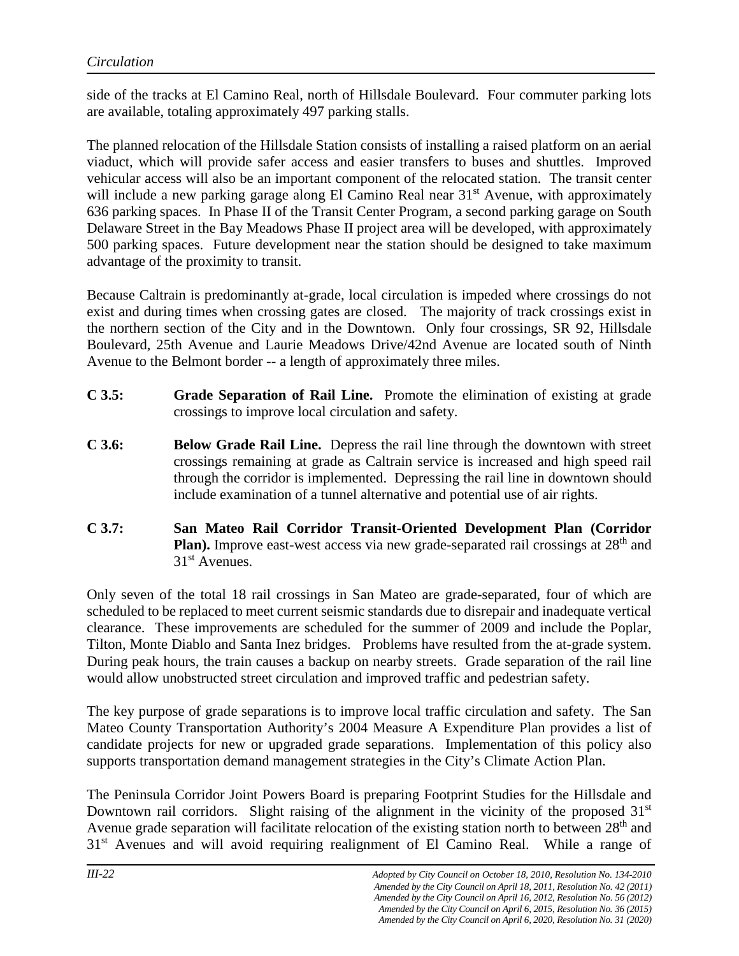side of the tracks at El Camino Real, north of Hillsdale Boulevard. Four commuter parking lots are available, totaling approximately 497 parking stalls.

The planned relocation of the Hillsdale Station consists of installing a raised platform on an aerial viaduct, which will provide safer access and easier transfers to buses and shuttles. Improved vehicular access will also be an important component of the relocated station. The transit center will include a new parking garage along El Camino Real near 31<sup>st</sup> Avenue, with approximately 636 parking spaces. In Phase II of the Transit Center Program, a second parking garage on South Delaware Street in the Bay Meadows Phase II project area will be developed, with approximately 500 parking spaces. Future development near the station should be designed to take maximum advantage of the proximity to transit.

Because Caltrain is predominantly at-grade, local circulation is impeded where crossings do not exist and during times when crossing gates are closed. The majority of track crossings exist in the northern section of the City and in the Downtown. Only four crossings, SR 92, Hillsdale Boulevard, 25th Avenue and Laurie Meadows Drive/42nd Avenue are located south of Ninth Avenue to the Belmont border -- a length of approximately three miles.

- **C 3.5: Grade Separation of Rail Line.** Promote the elimination of existing at grade crossings to improve local circulation and safety.
- **C 3.6: Below Grade Rail Line.** Depress the rail line through the downtown with street crossings remaining at grade as Caltrain service is increased and high speed rail through the corridor is implemented. Depressing the rail line in downtown should include examination of a tunnel alternative and potential use of air rights.
- **C 3.7: San Mateo Rail Corridor Transit-Oriented Development Plan (Corridor Plan).** Improve east-west access via new grade-separated rail crossings at 28<sup>th</sup> and 31st Avenues.

Only seven of the total 18 rail crossings in San Mateo are grade-separated, four of which are scheduled to be replaced to meet current seismic standards due to disrepair and inadequate vertical clearance. These improvements are scheduled for the summer of 2009 and include the Poplar, Tilton, Monte Diablo and Santa Inez bridges. Problems have resulted from the at-grade system. During peak hours, the train causes a backup on nearby streets. Grade separation of the rail line would allow unobstructed street circulation and improved traffic and pedestrian safety.

The key purpose of grade separations is to improve local traffic circulation and safety. The San Mateo County Transportation Authority's 2004 Measure A Expenditure Plan provides a list of candidate projects for new or upgraded grade separations. Implementation of this policy also supports transportation demand management strategies in the City's Climate Action Plan.

The Peninsula Corridor Joint Powers Board is preparing Footprint Studies for the Hillsdale and Downtown rail corridors. Slight raising of the alignment in the vicinity of the proposed  $31<sup>st</sup>$ Avenue grade separation will facilitate relocation of the existing station north to between 28<sup>th</sup> and 31<sup>st</sup> Avenues and will avoid requiring realignment of El Camino Real. While a range of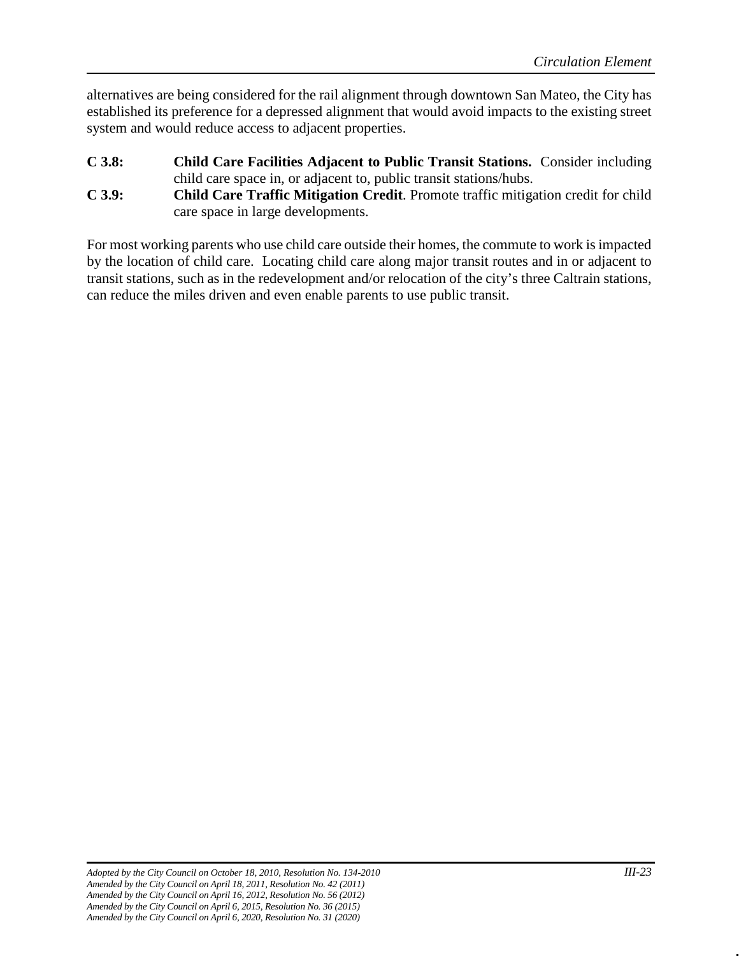alternatives are being considered for the rail alignment through downtown San Mateo, the City has established its preference for a depressed alignment that would avoid impacts to the existing street system and would reduce access to adjacent properties.

- **C 3.8: Child Care Facilities Adjacent to Public Transit Stations.** Consider including child care space in, or adjacent to, public transit stations/hubs.
- **C 3.9: Child Care Traffic Mitigation Credit**. Promote traffic mitigation credit for child care space in large developments.

For most working parents who use child care outside their homes, the commute to work is impacted by the location of child care. Locating child care along major transit routes and in or adjacent to transit stations, such as in the redevelopment and/or relocation of the city's three Caltrain stations, can reduce the miles driven and even enable parents to use public transit.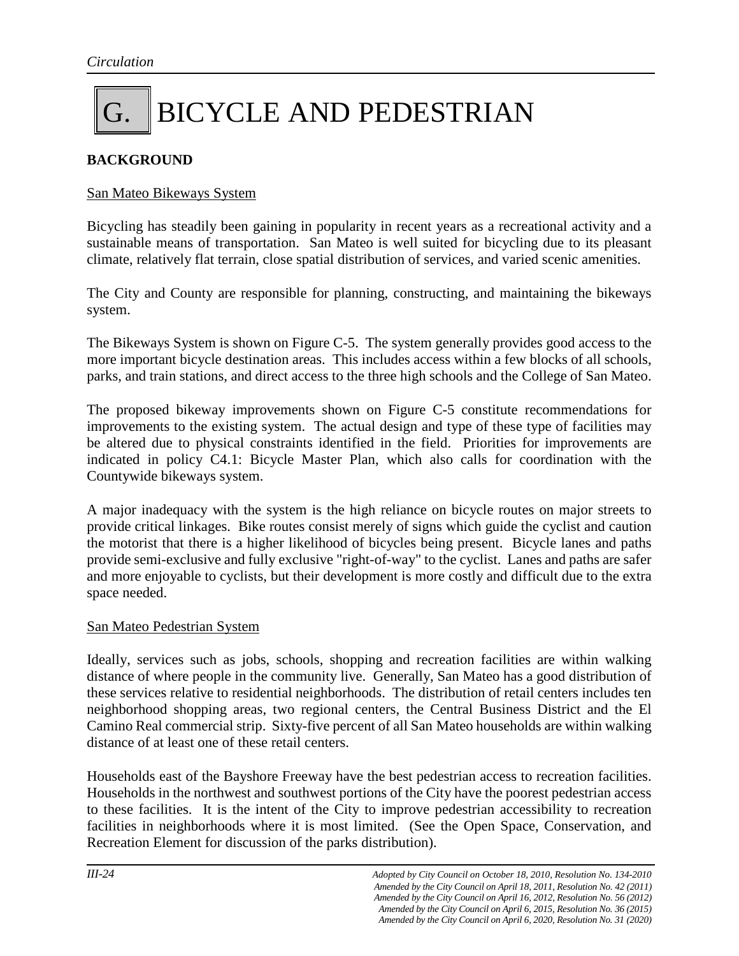### G. BICYCLE AND PEDESTRIAN

#### **BACKGROUND**

#### San Mateo Bikeways System

Bicycling has steadily been gaining in popularity in recent years as a recreational activity and a sustainable means of transportation. San Mateo is well suited for bicycling due to its pleasant climate, relatively flat terrain, close spatial distribution of services, and varied scenic amenities.

The City and County are responsible for planning, constructing, and maintaining the bikeways system.

The Bikeways System is shown on Figure C-5. The system generally provides good access to the more important bicycle destination areas. This includes access within a few blocks of all schools, parks, and train stations, and direct access to the three high schools and the College of San Mateo.

The proposed bikeway improvements shown on Figure C-5 constitute recommendations for improvements to the existing system. The actual design and type of these type of facilities may be altered due to physical constraints identified in the field. Priorities for improvements are indicated in policy C4.1: Bicycle Master Plan, which also calls for coordination with the Countywide bikeways system.

A major inadequacy with the system is the high reliance on bicycle routes on major streets to provide critical linkages. Bike routes consist merely of signs which guide the cyclist and caution the motorist that there is a higher likelihood of bicycles being present. Bicycle lanes and paths provide semi-exclusive and fully exclusive "right-of-way" to the cyclist. Lanes and paths are safer and more enjoyable to cyclists, but their development is more costly and difficult due to the extra space needed.

#### San Mateo Pedestrian System

Ideally, services such as jobs, schools, shopping and recreation facilities are within walking distance of where people in the community live. Generally, San Mateo has a good distribution of these services relative to residential neighborhoods. The distribution of retail centers includes ten neighborhood shopping areas, two regional centers, the Central Business District and the El Camino Real commercial strip. Sixty-five percent of all San Mateo households are within walking distance of at least one of these retail centers.

Households east of the Bayshore Freeway have the best pedestrian access to recreation facilities. Households in the northwest and southwest portions of the City have the poorest pedestrian access to these facilities. It is the intent of the City to improve pedestrian accessibility to recreation facilities in neighborhoods where it is most limited. (See the Open Space, Conservation, and Recreation Element for discussion of the parks distribution).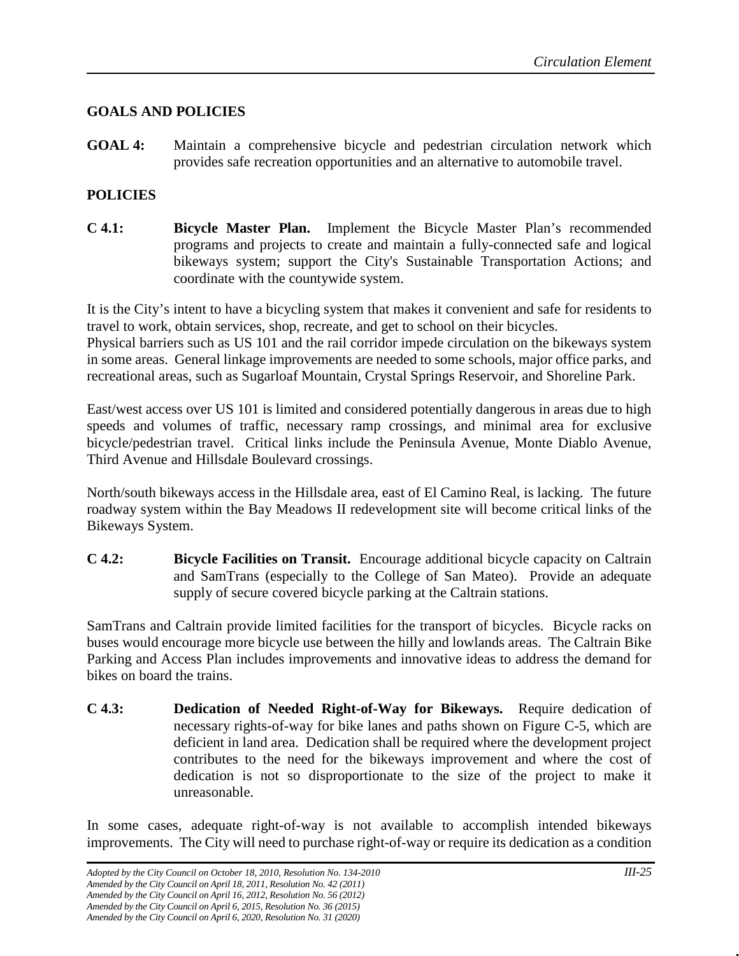#### **GOALS AND POLICIES**

**GOAL 4:** Maintain a comprehensive bicycle and pedestrian circulation network which provides safe recreation opportunities and an alternative to automobile travel.

#### **POLICIES**

**C 4.1: Bicycle Master Plan.** Implement the Bicycle Master Plan's recommended programs and projects to create and maintain a fully-connected safe and logical bikeways system; support the City's Sustainable Transportation Actions; and coordinate with the countywide system.

It is the City's intent to have a bicycling system that makes it convenient and safe for residents to travel to work, obtain services, shop, recreate, and get to school on their bicycles. Physical barriers such as US 101 and the rail corridor impede circulation on the bikeways system in some areas. General linkage improvements are needed to some schools, major office parks, and

recreational areas, such as Sugarloaf Mountain, Crystal Springs Reservoir, and Shoreline Park.

East/west access over US 101 is limited and considered potentially dangerous in areas due to high speeds and volumes of traffic, necessary ramp crossings, and minimal area for exclusive bicycle/pedestrian travel. Critical links include the Peninsula Avenue, Monte Diablo Avenue, Third Avenue and Hillsdale Boulevard crossings.

North/south bikeways access in the Hillsdale area, east of El Camino Real, is lacking. The future roadway system within the Bay Meadows II redevelopment site will become critical links of the Bikeways System.

**C 4.2: Bicycle Facilities on Transit.** Encourage additional bicycle capacity on Caltrain and SamTrans (especially to the College of San Mateo). Provide an adequate supply of secure covered bicycle parking at the Caltrain stations.

SamTrans and Caltrain provide limited facilities for the transport of bicycles. Bicycle racks on buses would encourage more bicycle use between the hilly and lowlands areas. The Caltrain Bike Parking and Access Plan includes improvements and innovative ideas to address the demand for bikes on board the trains.

**C 4.3: Dedication of Needed Right-of-Way for Bikeways.** Require dedication of necessary rights-of-way for bike lanes and paths shown on Figure C-5, which are deficient in land area. Dedication shall be required where the development project contributes to the need for the bikeways improvement and where the cost of dedication is not so disproportionate to the size of the project to make it unreasonable.

In some cases, adequate right-of-way is not available to accomplish intended bikeways improvements. The City will need to purchase right-of-way or require its dedication as a condition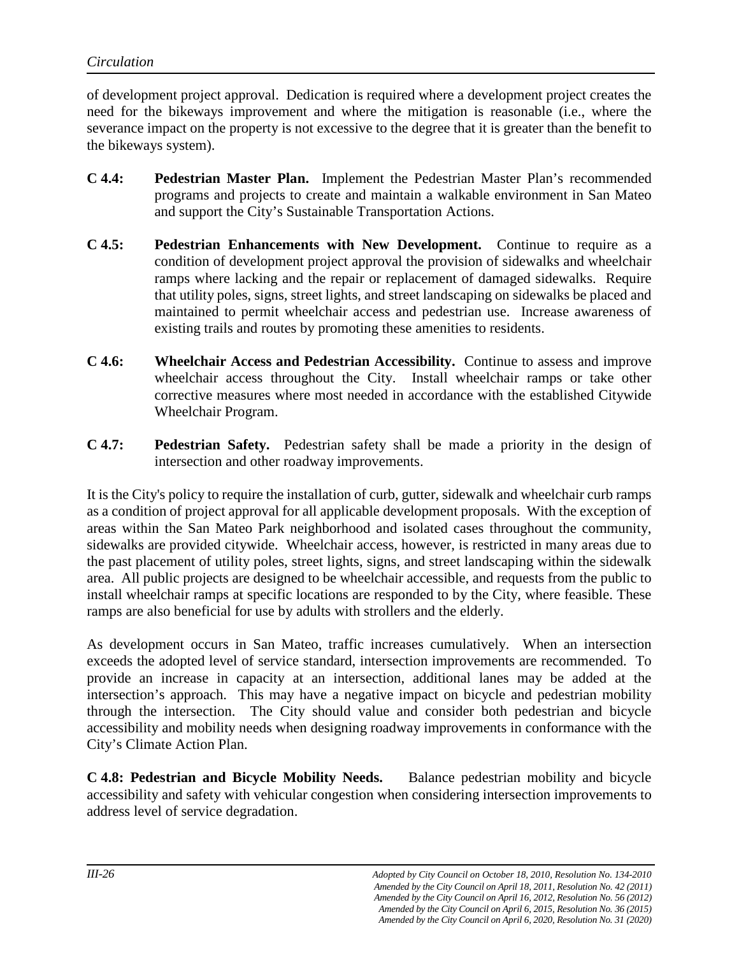of development project approval. Dedication is required where a development project creates the need for the bikeways improvement and where the mitigation is reasonable (i.e., where the severance impact on the property is not excessive to the degree that it is greater than the benefit to the bikeways system).

- **C 4.4: Pedestrian Master Plan.** Implement the Pedestrian Master Plan's recommended programs and projects to create and maintain a walkable environment in San Mateo and support the City's Sustainable Transportation Actions.
- **C 4.5: Pedestrian Enhancements with New Development.** Continue to require as a condition of development project approval the provision of sidewalks and wheelchair ramps where lacking and the repair or replacement of damaged sidewalks. Require that utility poles, signs, street lights, and street landscaping on sidewalks be placed and maintained to permit wheelchair access and pedestrian use. Increase awareness of existing trails and routes by promoting these amenities to residents.
- **C 4.6: Wheelchair Access and Pedestrian Accessibility.** Continue to assess and improve wheelchair access throughout the City. Install wheelchair ramps or take other corrective measures where most needed in accordance with the established Citywide Wheelchair Program.
- **C 4.7: Pedestrian Safety.** Pedestrian safety shall be made a priority in the design of intersection and other roadway improvements.

It is the City's policy to require the installation of curb, gutter, sidewalk and wheelchair curb ramps as a condition of project approval for all applicable development proposals. With the exception of areas within the San Mateo Park neighborhood and isolated cases throughout the community, sidewalks are provided citywide. Wheelchair access, however, is restricted in many areas due to the past placement of utility poles, street lights, signs, and street landscaping within the sidewalk area. All public projects are designed to be wheelchair accessible, and requests from the public to install wheelchair ramps at specific locations are responded to by the City, where feasible. These ramps are also beneficial for use by adults with strollers and the elderly.

As development occurs in San Mateo, traffic increases cumulatively. When an intersection exceeds the adopted level of service standard, intersection improvements are recommended. To provide an increase in capacity at an intersection, additional lanes may be added at the intersection's approach. This may have a negative impact on bicycle and pedestrian mobility through the intersection. The City should value and consider both pedestrian and bicycle accessibility and mobility needs when designing roadway improvements in conformance with the City's Climate Action Plan.

**C 4.8: Pedestrian and Bicycle Mobility Needs.** Balance pedestrian mobility and bicycle accessibility and safety with vehicular congestion when considering intersection improvements to address level of service degradation.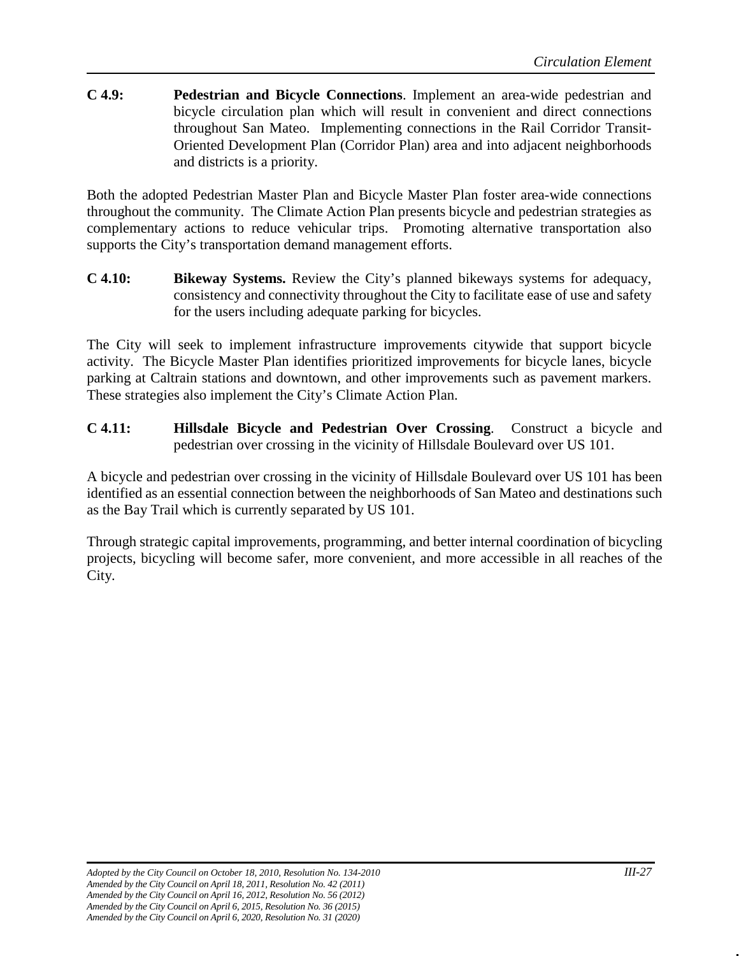**C 4.9: Pedestrian and Bicycle Connections**. Implement an area-wide pedestrian and bicycle circulation plan which will result in convenient and direct connections throughout San Mateo. Implementing connections in the Rail Corridor Transit-Oriented Development Plan (Corridor Plan) area and into adjacent neighborhoods and districts is a priority.

Both the adopted Pedestrian Master Plan and Bicycle Master Plan foster area-wide connections throughout the community. The Climate Action Plan presents bicycle and pedestrian strategies as complementary actions to reduce vehicular trips. Promoting alternative transportation also supports the City's transportation demand management efforts.

**C 4.10: Bikeway Systems.** Review the City's planned bikeways systems for adequacy, consistency and connectivity throughout the City to facilitate ease of use and safety for the users including adequate parking for bicycles.

The City will seek to implement infrastructure improvements citywide that support bicycle activity. The Bicycle Master Plan identifies prioritized improvements for bicycle lanes, bicycle parking at Caltrain stations and downtown, and other improvements such as pavement markers. These strategies also implement the City's Climate Action Plan.

**C 4.11: Hillsdale Bicycle and Pedestrian Over Crossing**. Construct a bicycle and pedestrian over crossing in the vicinity of Hillsdale Boulevard over US 101.

A bicycle and pedestrian over crossing in the vicinity of Hillsdale Boulevard over US 101 has been identified as an essential connection between the neighborhoods of San Mateo and destinations such as the Bay Trail which is currently separated by US 101.

Through strategic capital improvements, programming, and better internal coordination of bicycling projects, bicycling will become safer, more convenient, and more accessible in all reaches of the City.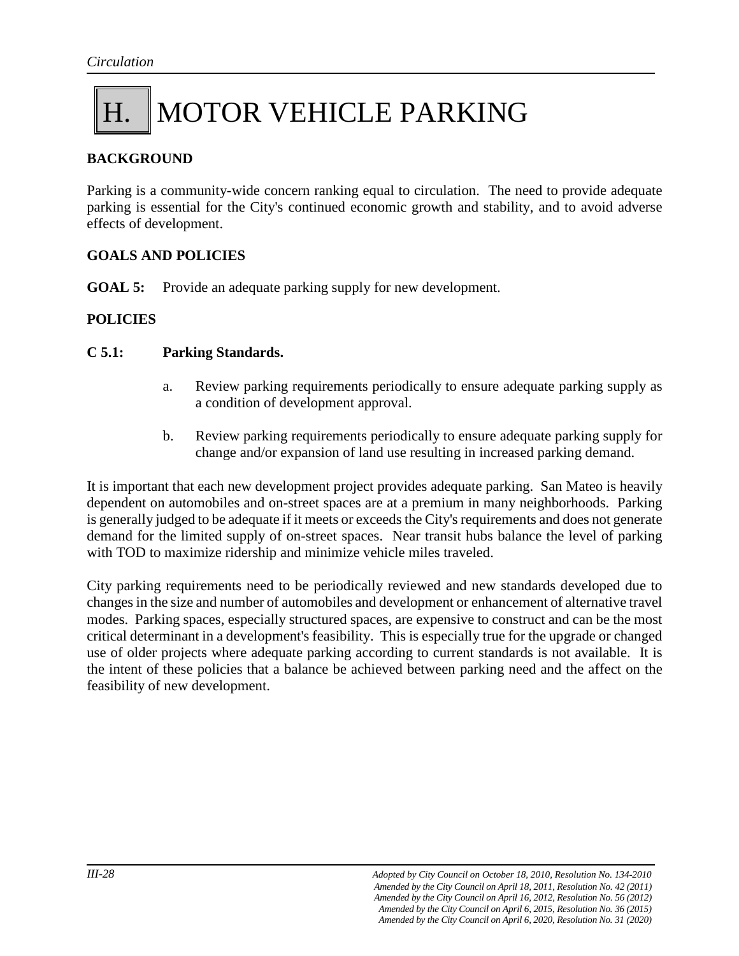### H. MOTOR VEHICLE PARKING

#### **BACKGROUND**

Parking is a community-wide concern ranking equal to circulation. The need to provide adequate parking is essential for the City's continued economic growth and stability, and to avoid adverse effects of development.

#### **GOALS AND POLICIES**

**GOAL 5:** Provide an adequate parking supply for new development.

#### **POLICIES**

#### **C 5.1: Parking Standards.**

- a. Review parking requirements periodically to ensure adequate parking supply as a condition of development approval.
- b. Review parking requirements periodically to ensure adequate parking supply for change and/or expansion of land use resulting in increased parking demand.

It is important that each new development project provides adequate parking. San Mateo is heavily dependent on automobiles and on-street spaces are at a premium in many neighborhoods. Parking is generally judged to be adequate if it meets or exceeds the City's requirements and does not generate demand for the limited supply of on-street spaces. Near transit hubs balance the level of parking with TOD to maximize ridership and minimize vehicle miles traveled.

City parking requirements need to be periodically reviewed and new standards developed due to changes in the size and number of automobiles and development or enhancement of alternative travel modes. Parking spaces, especially structured spaces, are expensive to construct and can be the most critical determinant in a development's feasibility. This is especially true for the upgrade or changed use of older projects where adequate parking according to current standards is not available. It is the intent of these policies that a balance be achieved between parking need and the affect on the feasibility of new development.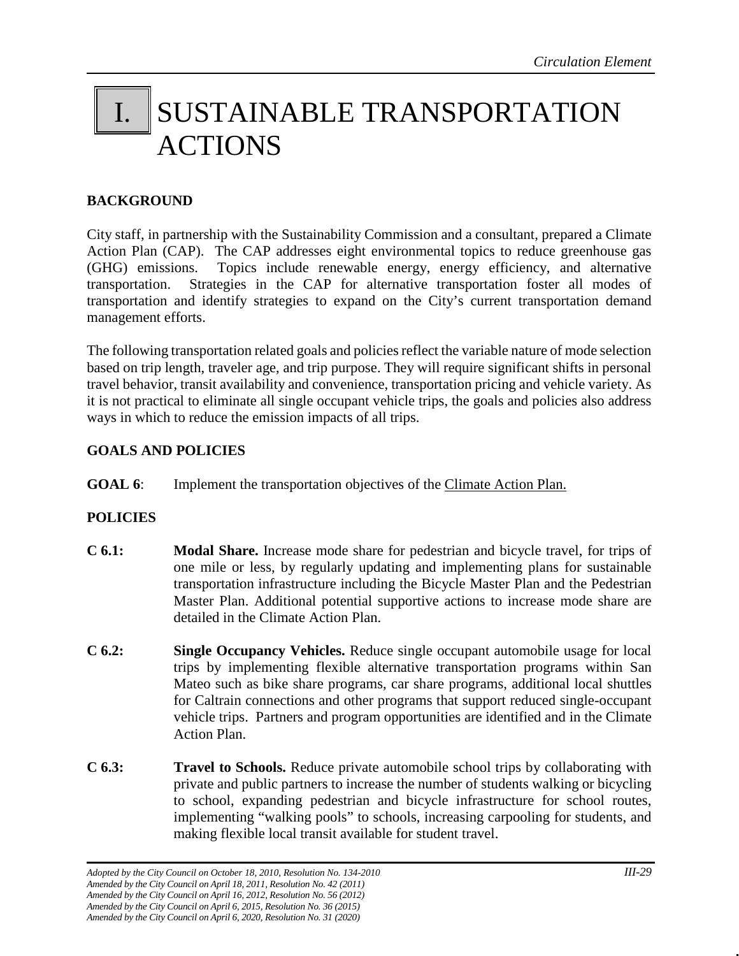### I. SUSTAINABLE TRANSPORTATION ACTIONS

#### **BACKGROUND**

City staff, in partnership with the Sustainability Commission and a consultant, prepared a Climate Action Plan (CAP). The CAP addresses eight environmental topics to reduce greenhouse gas (GHG) emissions. Topics include renewable energy, energy efficiency, and alternative transportation. Strategies in the CAP for alternative transportation foster all modes of transportation and identify strategies to expand on the City's current transportation demand management efforts.

The following transportation related goals and policies reflect the variable nature of mode selection based on trip length, traveler age, and trip purpose. They will require significant shifts in personal travel behavior, transit availability and convenience, transportation pricing and vehicle variety. As it is not practical to eliminate all single occupant vehicle trips, the goals and policies also address ways in which to reduce the emission impacts of all trips.

#### **GOALS AND POLICIES**

**GOAL 6:** Implement the transportation objectives of the Climate Action Plan.

#### **POLICIES**

- **C 6.1: Modal Share.** Increase mode share for pedestrian and bicycle travel, for trips of one mile or less, by regularly updating and implementing plans for sustainable transportation infrastructure including the Bicycle Master Plan and the Pedestrian Master Plan. Additional potential supportive actions to increase mode share are detailed in the Climate Action Plan.
- **C 6.2: Single Occupancy Vehicles.** Reduce single occupant automobile usage for local trips by implementing flexible alternative transportation programs within San Mateo such as bike share programs, car share programs, additional local shuttles for Caltrain connections and other programs that support reduced single-occupant vehicle trips. Partners and program opportunities are identified and in the Climate Action Plan.
- **C 6.3: Travel to Schools.** Reduce private automobile school trips by collaborating with private and public partners to increase the number of students walking or bicycling to school, expanding pedestrian and bicycle infrastructure for school routes, implementing "walking pools" to schools, increasing carpooling for students, and making flexible local transit available for student travel.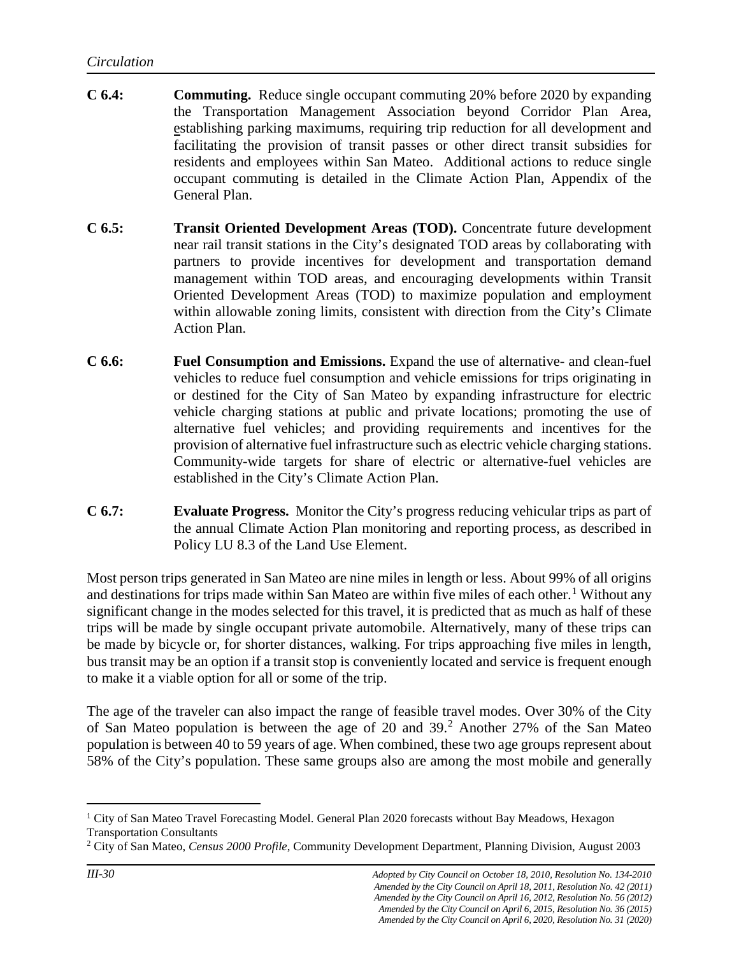- **C 6.4: Commuting.** Reduce single occupant commuting 20% before 2020 by expanding the Transportation Management Association beyond Corridor Plan Area, establishing parking maximums, requiring trip reduction for all development and facilitating the provision of transit passes or other direct transit subsidies for residents and employees within San Mateo. Additional actions to reduce single occupant commuting is detailed in the Climate Action Plan, Appendix of the General Plan.
- **C 6.5: Transit Oriented Development Areas (TOD).** Concentrate future development near rail transit stations in the City's designated TOD areas by collaborating with partners to provide incentives for development and transportation demand management within TOD areas, and encouraging developments within Transit Oriented Development Areas (TOD) to maximize population and employment within allowable zoning limits, consistent with direction from the City's Climate Action Plan.
- **C 6.6: Fuel Consumption and Emissions.** Expand the use of alternative- and clean-fuel vehicles to reduce fuel consumption and vehicle emissions for trips originating in or destined for the City of San Mateo by expanding infrastructure for electric vehicle charging stations at public and private locations; promoting the use of alternative fuel vehicles; and providing requirements and incentives for the provision of alternative fuel infrastructure such as electric vehicle charging stations. Community-wide targets for share of electric or alternative-fuel vehicles are established in the City's Climate Action Plan.
- **C 6.7: Evaluate Progress.** Monitor the City's progress reducing vehicular trips as part of the annual Climate Action Plan monitoring and reporting process, as described in Policy LU 8.3 of the Land Use Element.

Most person trips generated in San Mateo are nine miles in length or less. About 99% of all origins and destinations for trips made within San Mateo are within five miles of each other.<sup>[1](#page-29-0)</sup> Without any significant change in the modes selected for this travel, it is predicted that as much as half of these trips will be made by single occupant private automobile. Alternatively, many of these trips can be made by bicycle or, for shorter distances, walking. For trips approaching five miles in length, bus transit may be an option if a transit stop is conveniently located and service is frequent enough to make it a viable option for all or some of the trip.

The age of the traveler can also impact the range of feasible travel modes. Over 30% of the City of San Mateo population is between the age of [2](#page-29-1)0 and  $39<sup>2</sup>$  Another 27% of the San Mateo population is between 40 to 59 years of age. When combined, these two age groups represent about 58% of the City's population. These same groups also are among the most mobile and generally

<span id="page-29-0"></span>ī <sup>1</sup> City of San Mateo Travel Forecasting Model. General Plan 2020 forecasts without Bay Meadows, Hexagon Transportation Consultants

<span id="page-29-1"></span><sup>2</sup> City of San Mateo, *Census 2000 Profile*, Community Development Department, Planning Division, August 2003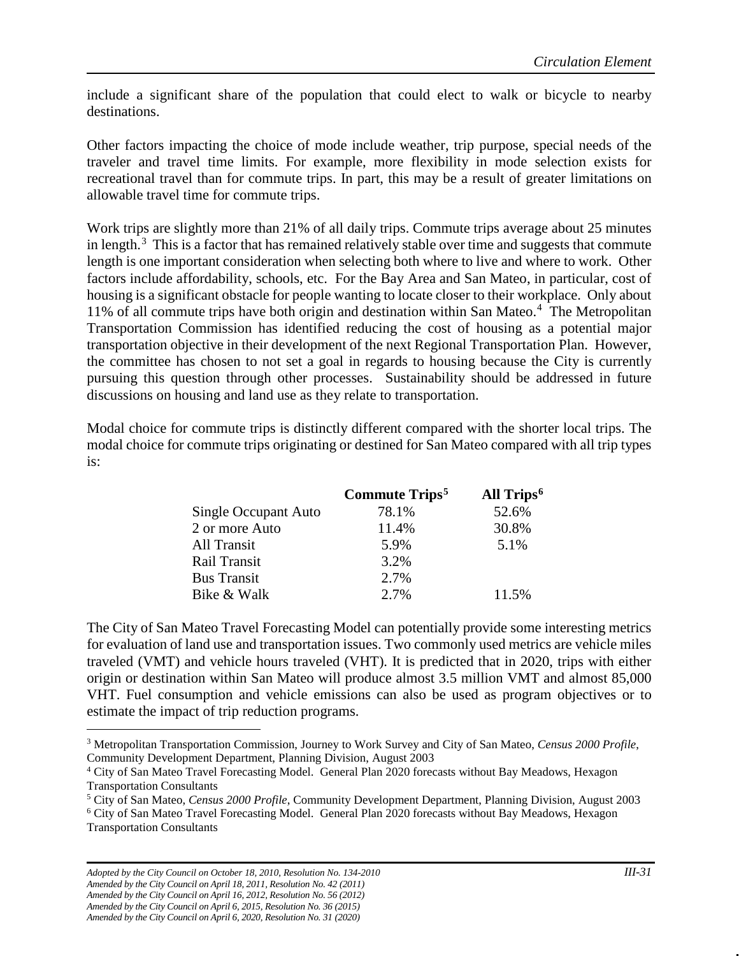include a significant share of the population that could elect to walk or bicycle to nearby destinations.

Other factors impacting the choice of mode include weather, trip purpose, special needs of the traveler and travel time limits. For example, more flexibility in mode selection exists for recreational travel than for commute trips. In part, this may be a result of greater limitations on allowable travel time for commute trips.

Work trips are slightly more than 21% of all daily trips. Commute trips average about 25 minutes in length. $3$  This is a factor that has remained relatively stable over time and suggests that commute length is one important consideration when selecting both where to live and where to work. Other factors include affordability, schools, etc. For the Bay Area and San Mateo, in particular, cost of housing is a significant obstacle for people wanting to locate closer to their workplace. Only about 11% of all commute trips have both origin and destination within San Mateo.<sup>[4](#page-30-1)</sup> The Metropolitan Transportation Commission has identified reducing the cost of housing as a potential major transportation objective in their development of the next Regional Transportation Plan. However, the committee has chosen to not set a goal in regards to housing because the City is currently pursuing this question through other processes. Sustainability should be addressed in future discussions on housing and land use as they relate to transportation.

Modal choice for commute trips is distinctly different compared with the shorter local trips. The modal choice for commute trips originating or destined for San Mateo compared with all trip types is:

|                      | Commute Trips <sup>5</sup> | All Trips <sup>6</sup> |
|----------------------|----------------------------|------------------------|
| Single Occupant Auto | 78.1%                      | 52.6%                  |
| 2 or more Auto       | 11.4%                      | 30.8%                  |
| All Transit          | 5.9%                       | 5.1%                   |
| Rail Transit         | 3.2%                       |                        |
| <b>Bus Transit</b>   | 2.7%                       |                        |
| Bike & Walk          | 2.7%                       | 11.5%                  |

The City of San Mateo Travel Forecasting Model can potentially provide some interesting metrics for evaluation of land use and transportation issues. Two commonly used metrics are vehicle miles traveled (VMT) and vehicle hours traveled (VHT). It is predicted that in 2020, trips with either origin or destination within San Mateo will produce almost 3.5 million VMT and almost 85,000 VHT. Fuel consumption and vehicle emissions can also be used as program objectives or to estimate the impact of trip reduction programs.

<span id="page-30-3"></span><sup>6</sup> City of San Mateo Travel Forecasting Model. General Plan 2020 forecasts without Bay Meadows, Hexagon Transportation Consultants

<span id="page-30-0"></span>Ĩ. <sup>3</sup> Metropolitan Transportation Commission, Journey to Work Survey and City of San Mateo, *Census 2000 Profile*, Community Development Department, Planning Division, August 2003

<span id="page-30-1"></span><sup>4</sup> City of San Mateo Travel Forecasting Model. General Plan 2020 forecasts without Bay Meadows, Hexagon Transportation Consultants

<span id="page-30-2"></span><sup>5</sup> City of San Mateo, *Census 2000 Profile*, Community Development Department, Planning Division, August 2003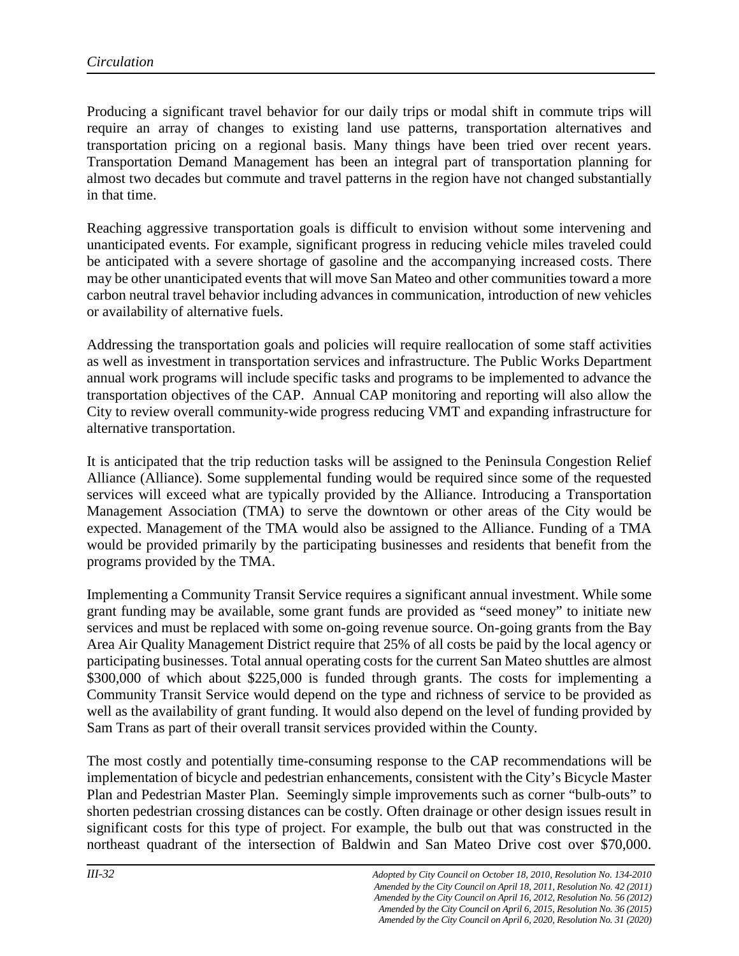Producing a significant travel behavior for our daily trips or modal shift in commute trips will require an array of changes to existing land use patterns, transportation alternatives and transportation pricing on a regional basis. Many things have been tried over recent years. Transportation Demand Management has been an integral part of transportation planning for almost two decades but commute and travel patterns in the region have not changed substantially in that time.

Reaching aggressive transportation goals is difficult to envision without some intervening and unanticipated events. For example, significant progress in reducing vehicle miles traveled could be anticipated with a severe shortage of gasoline and the accompanying increased costs. There may be other unanticipated events that will move San Mateo and other communities toward a more carbon neutral travel behavior including advances in communication, introduction of new vehicles or availability of alternative fuels.

Addressing the transportation goals and policies will require reallocation of some staff activities as well as investment in transportation services and infrastructure. The Public Works Department annual work programs will include specific tasks and programs to be implemented to advance the transportation objectives of the CAP. Annual CAP monitoring and reporting will also allow the City to review overall community-wide progress reducing VMT and expanding infrastructure for alternative transportation.

It is anticipated that the trip reduction tasks will be assigned to the Peninsula Congestion Relief Alliance (Alliance). Some supplemental funding would be required since some of the requested services will exceed what are typically provided by the Alliance. Introducing a Transportation Management Association (TMA) to serve the downtown or other areas of the City would be expected. Management of the TMA would also be assigned to the Alliance. Funding of a TMA would be provided primarily by the participating businesses and residents that benefit from the programs provided by the TMA.

Implementing a Community Transit Service requires a significant annual investment. While some grant funding may be available, some grant funds are provided as "seed money" to initiate new services and must be replaced with some on-going revenue source. On-going grants from the Bay Area Air Quality Management District require that 25% of all costs be paid by the local agency or participating businesses. Total annual operating costs for the current San Mateo shuttles are almost \$300,000 of which about \$225,000 is funded through grants. The costs for implementing a Community Transit Service would depend on the type and richness of service to be provided as well as the availability of grant funding. It would also depend on the level of funding provided by Sam Trans as part of their overall transit services provided within the County.

The most costly and potentially time-consuming response to the CAP recommendations will be implementation of bicycle and pedestrian enhancements, consistent with the City's Bicycle Master Plan and Pedestrian Master Plan. Seemingly simple improvements such as corner "bulb-outs" to shorten pedestrian crossing distances can be costly. Often drainage or other design issues result in significant costs for this type of project. For example, the bulb out that was constructed in the northeast quadrant of the intersection of Baldwin and San Mateo Drive cost over \$70,000.